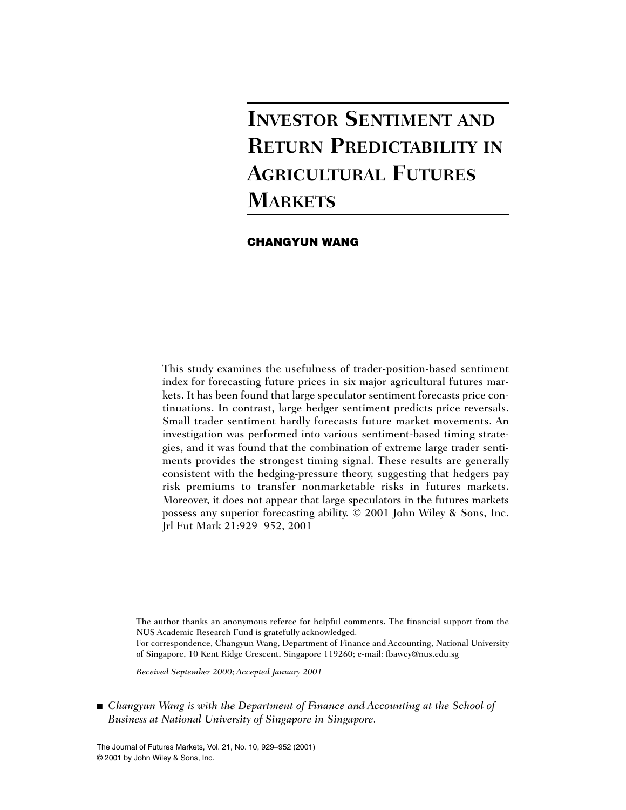# **INVESTOR SENTIMENT AND RETURN PREDICTABILITY IN AGRICULTURAL FUTURES MARKETS**

#### **CHANGYUN WANG**

This study examines the usefulness of trader-position-based sentiment index for forecasting future prices in six major agricultural futures markets. It has been found that large speculator sentiment forecasts price continuations. In contrast, large hedger sentiment predicts price reversals. Small trader sentiment hardly forecasts future market movements. An investigation was performed into various sentiment-based timing strategies, and it was found that the combination of extreme large trader sentiments provides the strongest timing signal. These results are generally consistent with the hedging-pressure theory, suggesting that hedgers pay risk premiums to transfer nonmarketable risks in futures markets. Moreover, it does not appear that large speculators in the futures markets possess any superior forecasting ability. © 2001 John Wiley & Sons, Inc. Jrl Fut Mark 21:929–952, 2001

The author thanks an anonymous referee for helpful comments. The financial support from the NUS Academic Research Fund is gratefully acknowledged. For correspondence, Changyun Wang, Department of Finance and Accounting, National University

of Singapore, 10 Kent Ridge Crescent, Singapore 119260; e-mail: fbawcy@nus.edu.sg

*Received September 2000; Accepted January 2001*

■ *Changyun Wang is with the Department of Finance and Accounting at the School of Business at National University of Singapore in Singapore.*

The Journal of Futures Markets, Vol. 21, No. 10, 929–952 (2001) © 2001 by John Wiley & Sons, Inc.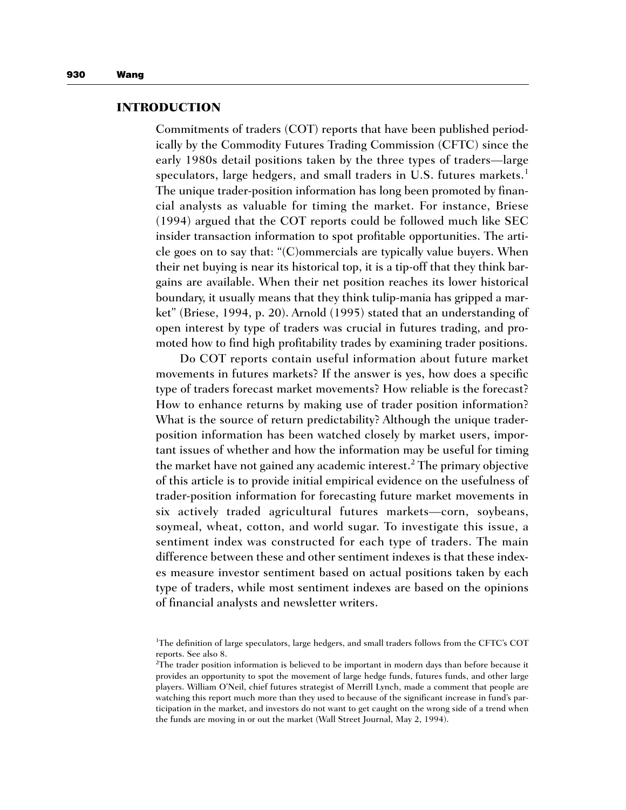#### **INTRODUCTION**

Commitments of traders (COT) reports that have been published periodically by the Commodity Futures Trading Commission (CFTC) since the early 1980s detail positions taken by the three types of traders—large speculators, large hedgers, and small traders in U.S. futures markets.<sup>1</sup> The unique trader-position information has long been promoted by financial analysts as valuable for timing the market. For instance, Briese (1994) argued that the COT reports could be followed much like SEC insider transaction information to spot profitable opportunities. The article goes on to say that: "(C)ommercials are typically value buyers. When their net buying is near its historical top, it is a tip-off that they think bargains are available. When their net position reaches its lower historical boundary, it usually means that they think tulip-mania has gripped a market" (Briese, 1994, p. 20). Arnold (1995) stated that an understanding of open interest by type of traders was crucial in futures trading, and promoted how to find high profitability trades by examining trader positions.

Do COT reports contain useful information about future market movements in futures markets? If the answer is yes, how does a specific type of traders forecast market movements? Howreliable is the forecast? How to enhance returns by making use of trader position information? What is the source of return predictability? Although the unique traderposition information has been watched closely by market users, important issues of whether and how the information may be useful for timing the market have not gained any academic interest.<sup>2</sup> The primary objective of this article is to provide initial empirical evidence on the usefulness of trader-position information for forecasting future market movements in six actively traded agricultural futures markets—corn, soybeans, soymeal, wheat, cotton, and world sugar. To investigate this issue, a sentiment index was constructed for each type of traders. The main difference between these and other sentiment indexes is that these indexes measure investor sentiment based on actual positions taken by each type of traders, while most sentiment indexes are based on the opinions of financial analysts and newsletter writers.

<sup>1</sup> The definition of large speculators, large hedgers, and small traders follows from the CFTC's COT reports. See also 8.

 $\rm{^2The\,\, rad}$  rosition information is believed to be important in modern days than before because it provides an opportunity to spot the movement of large hedge funds, futures funds, and other large players. William O'Neil, chief futures strategist of Merrill Lynch, made a comment that people are watching this report much more than they used to because of the significant increase in fund's participation in the market, and investors do not want to get caught on the wrong side of a trend when the funds are moving in or out the market (Wall Street Journal, May 2, 1994).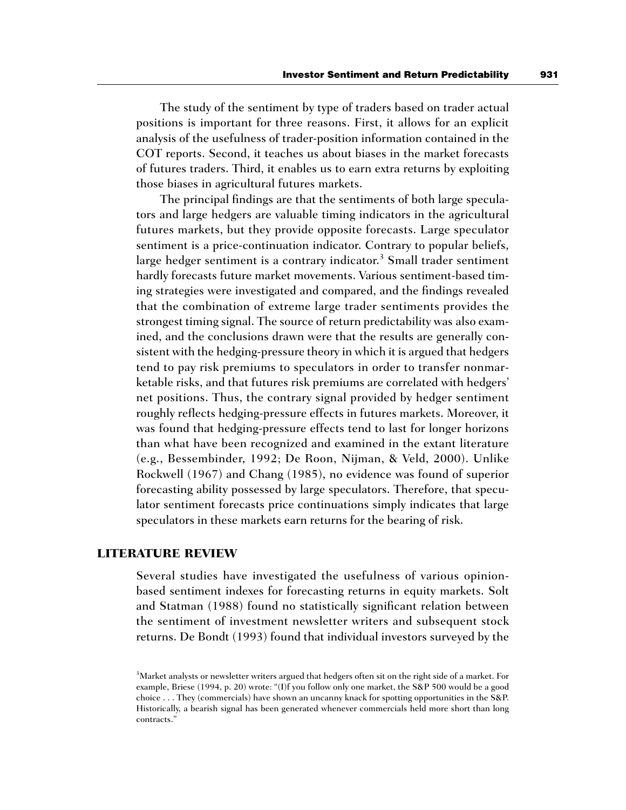The study of the sentiment by type of traders based on trader actual positions is important for three reasons. First, it allows for an explicit analysis of the usefulness of trader-position information contained in the COT reports. Second, it teaches us about biases in the market forecasts of futures traders. Third, it enables us to earn extra returns by exploiting those biases in agricultural futures markets.

The principal findings are that the sentiments of both large speculators and large hedgers are valuable timing indicators in the agricultural futures markets, but they provide opposite forecasts. Large speculator sentiment is a price-continuation indicator. Contrary to popular beliefs, large hedger sentiment is a contrary indicator.<sup>3</sup> Small trader sentiment hardly forecasts future market movements. Various sentiment-based timing strategies were investigated and compared, and the findings revealed that the combination of extreme large trader sentiments provides the strongest timing signal. The source of return predictability was also examined, and the conclusions drawn were that the results are generally consistent with the hedging-pressure theory in which it is argued that hedgers tend to pay risk premiums to speculators in order to transfer nonmarketable risks, and that futures risk premiums are correlated with hedgers' net positions. Thus, the contrary signal provided by hedger sentiment roughly reflects hedging-pressure effects in futures markets. Moreover, it was found that hedging-pressure effects tend to last for longer horizons than what have been recognized and examined in the extant literature (e.g., Bessembinder, 1992; De Roon, Nijman, & Veld, 2000). Unlike Rockwell (1967) and Chang (1985), no evidence was found of superior forecasting ability possessed by large speculators. Therefore, that speculator sentiment forecasts price continuations simply indicates that large speculators in these markets earn returns for the bearing of risk.

# **LITERATURE REVIEW**

Several studies have investigated the usefulness of various opinionbased sentiment indexes for forecasting returns in equity markets. Solt and Statman (1988) found no statistically significant relation between the sentiment of investment newsletter writers and subsequent stock returns. De Bondt (1993) found that individual investors surveyed by the

<sup>3</sup> Market analysts or newsletter writers argued that hedgers often sit on the right side of a market. For example, Briese (1994, p. 20) wrote: "(I)f you follow only one market, the S&P 500 would be a good choice . . . They (commercials) have shown an uncanny knack for spotting opportunities in the S&P. Historically, a bearish signal has been generated whenever commercials held more short than long contracts."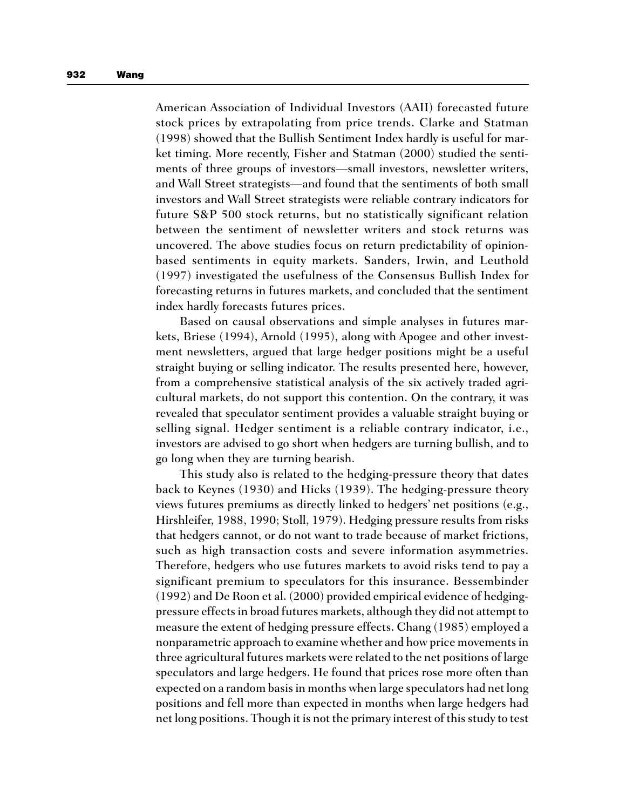American Association of Individual Investors (AAII) forecasted future stock prices by extrapolating from price trends. Clarke and Statman (1998) showed that the Bullish Sentiment Index hardly is useful for market timing. More recently, Fisher and Statman (2000) studied the sentiments of three groups of investors—small investors, newsletter writers, and Wall Street strategists—and found that the sentiments of both small investors and Wall Street strategists were reliable contrary indicators for future S&P 500 stock returns, but no statistically significant relation between the sentiment of newsletter writers and stock returns was uncovered. The above studies focus on return predictability of opinionbased sentiments in equity markets. Sanders, Irwin, and Leuthold (1997) investigated the usefulness of the Consensus Bullish Index for forecasting returns in futures markets, and concluded that the sentiment index hardly forecasts futures prices.

Based on causal observations and simple analyses in futures markets, Briese (1994), Arnold (1995), along with Apogee and other investment newsletters, argued that large hedger positions might be a useful straight buying or selling indicator. The results presented here, however, from a comprehensive statistical analysis of the six actively traded agricultural markets, do not support this contention. On the contrary, it was revealed that speculator sentiment provides a valuable straight buying or selling signal. Hedger sentiment is a reliable contrary indicator, i.e., investors are advised to go short when hedgers are turning bullish, and to go long when they are turning bearish.

This study also is related to the hedging-pressure theory that dates back to Keynes (1930) and Hicks (1939). The hedging-pressure theory views futures premiums as directly linked to hedgers' net positions (e.g., Hirshleifer, 1988, 1990; Stoll, 1979). Hedging pressure results from risks that hedgers cannot, or do not want to trade because of market frictions, such as high transaction costs and severe information asymmetries. Therefore, hedgers who use futures markets to avoid risks tend to pay a significant premium to speculators for this insurance. Bessembinder (1992) and De Roon et al. (2000) provided empirical evidence of hedgingpressure effects in broad futures markets, although they did not attempt to measure the extent of hedging pressure effects. Chang (1985) employed a nonparametric approach to examine whether and how price movements in three agricultural futures markets were related to the net positions of large speculators and large hedgers. He found that prices rose more often than expected on a random basis in months when large speculators had net long positions and fell more than expected in months when large hedgers had net long positions. Though it is not the primary interest of this study to test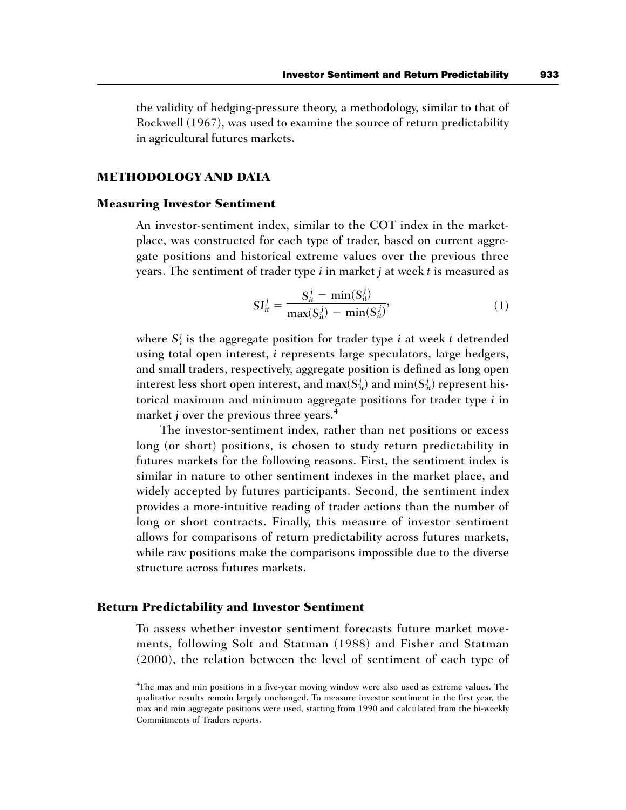the validity of hedging-pressure theory, a methodology, similar to that of Rockwell (1967), was used to examine the source of return predictability in agricultural futures markets.

# **METHODOLOGY AND DATA**

#### **Measuring Investor Sentiment**

An investor-sentiment index, similar to the COT index in the marketplace, was constructed for each type of trader, based on current aggregate positions and historical extreme values over the previous three years. The sentiment of trader type *i* in market *j* at week *t* is measured as

$$
SI_{it}^{j} = \frac{S_{it}^{j} - \min(S_{it}^{j})}{\max(S_{it}^{j}) - \min(S_{it}^{j})},
$$
\n(1)

where  $S_i^j$  is the aggregate position for trader type  $i$  at week  $t$  detrended using total open interest, *i* represents large speculators, large hedgers, and small traders, respectively, aggregate position is defined as long open interest less short open interest, and  $\max(S_{it}^j)$  and  $\min(S_{it}^j)$  represent historical maximum and minimum aggregate positions for trader type *i* in market *j* over the previous three years.<sup>4</sup>

The investor-sentiment index, rather than net positions or excess long (or short) positions, is chosen to study return predictability in futures markets for the following reasons. First, the sentiment index is similar in nature to other sentiment indexes in the market place, and widely accepted by futures participants. Second, the sentiment index provides a more-intuitive reading of trader actions than the number of long or short contracts. Finally, this measure of investor sentiment allows for comparisons of return predictability across futures markets, while raw positions make the comparisons impossible due to the diverse structure across futures markets.

# **Return Predictability and Investor Sentiment**

To assess whether investor sentiment forecasts future market movements, following Solt and Statman (1988) and Fisher and Statman (2000), the relation between the level of sentiment of each type of

<sup>4</sup> The max and min positions in a five-year moving window were also used as extreme values. The qualitative results remain largely unchanged. To measure investor sentiment in the first year, the max and min aggregate positions were used, starting from 1990 and calculated from the bi-weekly Commitments of Traders reports.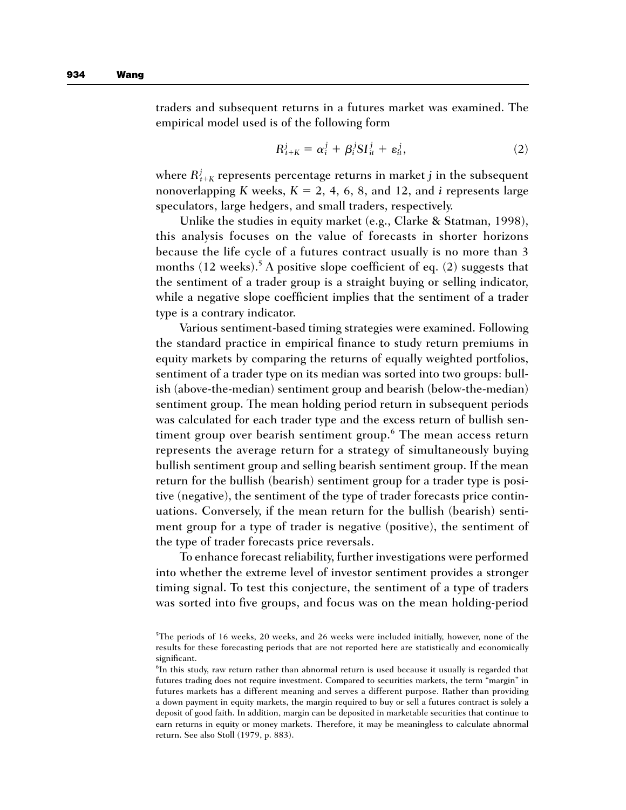traders and subsequent returns in a futures market was examined. The empirical model used is of the following form

$$
R_{i+K}^j = \alpha_i^j + \beta_i^j S I_{it}^j + \varepsilon_{it}^j,
$$
 (2)

where  $R_{t+K}^j$  represents percentage returns in market  $j$  in the subsequent nonoverlapping *K* weeks,  $K = 2, 4, 6, 8$ , and 12, and *i* represents large speculators, large hedgers, and small traders, respectively.

Unlike the studies in equity market (e.g., Clarke & Statman, 1998), this analysis focuses on the value of forecasts in shorter horizons because the life cycle of a futures contract usually is no more than 3 months  $(12 \text{ weeks})$ .<sup>5</sup> A positive slope coefficient of eq.  $(2)$  suggests that the sentiment of a trader group is a straight buying or selling indicator, while a negative slope coefficient implies that the sentiment of a trader type is a contrary indicator.

Various sentiment-based timing strategies were examined. Following the standard practice in empirical finance to study return premiums in equity markets by comparing the returns of equally weighted portfolios, sentiment of a trader type on its median was sorted into two groups: bullish (above-the-median) sentiment group and bearish (below-the-median) sentiment group. The mean holding period return in subsequent periods was calculated for each trader type and the excess return of bullish sentiment group over bearish sentiment group.<sup>6</sup> The mean access return represents the average return for a strategy of simultaneously buying bullish sentiment group and selling bearish sentiment group. If the mean return for the bullish (bearish) sentiment group for a trader type is positive (negative), the sentiment of the type of trader forecasts price continuations. Conversely, if the mean return for the bullish (bearish) sentiment group for a type of trader is negative (positive), the sentiment of the type of trader forecasts price reversals.

To enhance forecast reliability, further investigations were performed into whether the extreme level of investor sentiment provides a stronger timing signal. To test this conjecture, the sentiment of a type of traders was sorted into five groups, and focus was on the mean holding-period

<sup>5</sup> The periods of 16 weeks, 20 weeks, and 26 weeks were included initially, however, none of the results for these forecasting periods that are not reported here are statistically and economically significant.

<sup>&</sup>lt;sup>6</sup>In this study, raw return rather than abnormal return is used because it usually is regarded that futures trading does not require investment. Compared to securities markets, the term "margin" in futures markets has a different meaning and serves a different purpose. Rather than providing a down payment in equity markets, the margin required to buy or sell a futures contract is solely a deposit of good faith. In addition, margin can be deposited in marketable securities that continue to earn returns in equity or money markets. Therefore, it may be meaningless to calculate abnormal return. See also Stoll (1979, p. 883).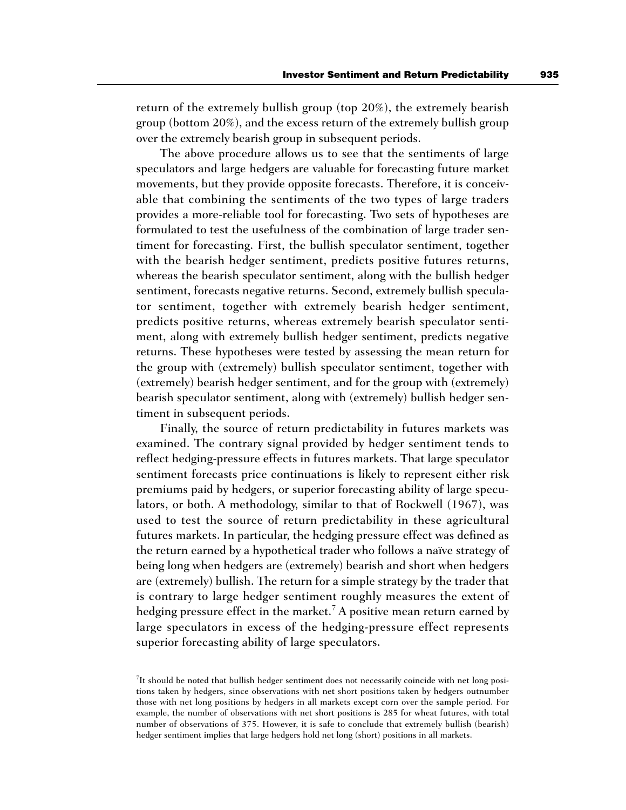return of the extremely bullish group (top 20%), the extremely bearish group (bottom 20%), and the excess return of the extremely bullish group over the extremely bearish group in subsequent periods.

The above procedure allows us to see that the sentiments of large speculators and large hedgers are valuable for forecasting future market movements, but they provide opposite forecasts. Therefore, it is conceivable that combining the sentiments of the two types of large traders provides a more-reliable tool for forecasting. Two sets of hypotheses are formulated to test the usefulness of the combination of large trader sentiment for forecasting. First, the bullish speculator sentiment, together with the bearish hedger sentiment, predicts positive futures returns, whereas the bearish speculator sentiment, along with the bullish hedger sentiment, forecasts negative returns. Second, extremely bullish speculator sentiment, together with extremely bearish hedger sentiment, predicts positive returns, whereas extremely bearish speculator sentiment, along with extremely bullish hedger sentiment, predicts negative returns. These hypotheses were tested by assessing the mean return for the group with (extremely) bullish speculator sentiment, together with (extremely) bearish hedger sentiment, and for the group with (extremely) bearish speculator sentiment, along with (extremely) bullish hedger sentiment in subsequent periods.

Finally, the source of return predictability in futures markets was examined. The contrary signal provided by hedger sentiment tends to reflect hedging-pressure effects in futures markets. That large speculator sentiment forecasts price continuations is likely to represent either risk premiums paid by hedgers, or superior forecasting ability of large speculators, or both. A methodology, similar to that of Rockwell (1967), was used to test the source of return predictability in these agricultural futures markets. In particular, the hedging pressure effect was defined as the return earned by a hypothetical trader who follows a naïve strategy of being long when hedgers are (extremely) bearish and short when hedgers are (extremely) bullish. The return for a simple strategy by the trader that is contrary to large hedger sentiment roughly measures the extent of hedging pressure effect in the market.<sup>7</sup> A positive mean return earned by large speculators in excess of the hedging-pressure effect represents superior forecasting ability of large speculators.

<sup>7</sup> It should be noted that bullish hedger sentiment does not necessarily coincide with net long positions taken by hedgers, since observations with net short positions taken by hedgers outnumber those with net long positions by hedgers in all markets except corn over the sample period. For example, the number of observations with net short positions is 285 for wheat futures, with total number of observations of 375. However, it is safe to conclude that extremely bullish (bearish) hedger sentiment implies that large hedgers hold net long (short) positions in all markets.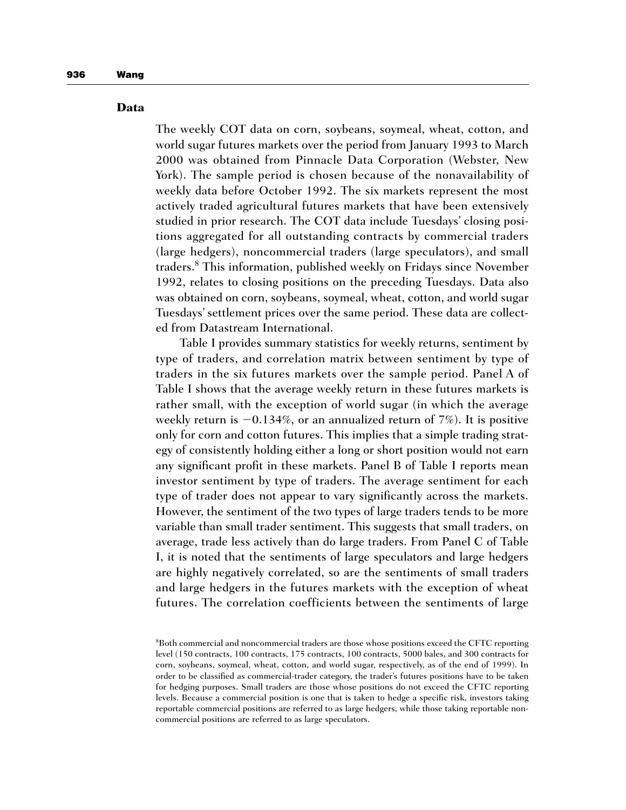#### **Data**

The weekly COT data on corn, soybeans, soymeal, wheat, cotton, and world sugar futures markets over the period from January 1993 to March 2000 was obtained from Pinnacle Data Corporation (Webster, New York). The sample period is chosen because of the nonavailability of weekly data before October 1992. The six markets represent the most actively traded agricultural futures markets that have been extensively studied in prior research. The COT data include Tuesdays' closing positions aggregated for all outstanding contracts by commercial traders (large hedgers), noncommercial traders (large speculators), and small traders.8 This information, published weekly on Fridays since November 1992, relates to closing positions on the preceding Tuesdays. Data also was obtained on corn, soybeans, soymeal, wheat, cotton, and world sugar Tuesdays' settlement prices over the same period. These data are collected from Datastream International.

Table I provides summary statistics for weekly returns, sentiment by type of traders, and correlation matrix between sentiment by type of traders in the six futures markets over the sample period. Panel A of Table I shows that the average weekly return in these futures markets is rather small, with the exception of world sugar (in which the average weekly return is  $-0.134\%$ , or an annualized return of 7%). It is positive only for corn and cotton futures. This implies that a simple trading strategy of consistently holding either a long or short position would not earn any significant profit in these markets. Panel B of Table I reports mean investor sentiment by type of traders. The average sentiment for each type of trader does not appear to vary significantly across the markets. However, the sentiment of the two types of large traders tends to be more variable than small trader sentiment. This suggests that small traders, on average, trade less actively than do large traders. From Panel C of Table I, it is noted that the sentiments of large speculators and large hedgers are highly negatively correlated, so are the sentiments of small traders and large hedgers in the futures markets with the exception of wheat futures. The correlation coefficients between the sentiments of large

<sup>&</sup>lt;sup>8</sup>Both commercial and noncommercial traders are those whose positions exceed the CFTC reporting level (150 contracts, 100 contracts, 175 contracts, 100 contracts, 5000 bales, and 300 contracts for corn, soybeans, soymeal, wheat, cotton, and world sugar, respectively, as of the end of 1999). In order to be classified as commercial-trader category, the trader's futures positions have to be taken for hedging purposes. Small traders are those whose positions do not exceed the CFTC reporting levels. Because a commercial position is one that is taken to hedge a specific risk, investors taking reportable commercial positions are referred to as large hedgers, while those taking reportable noncommercial positions are referred to as large speculators.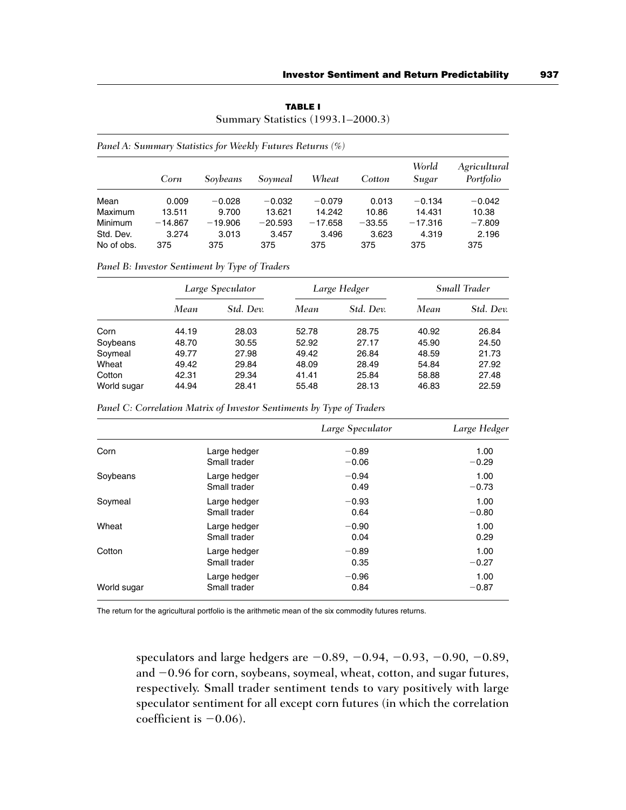|            |           | Tunce A. Outlining Counsiles for Weekly Tunnes Hendrid (707) |           |           |          |                |                           |
|------------|-----------|--------------------------------------------------------------|-----------|-----------|----------|----------------|---------------------------|
|            | Corn      | Soybeans                                                     | Soymeal   | Wheat     | Cotton   | World<br>Sugar | Agricultural<br>Portfolio |
| Mean       | 0.009     | $-0.028$                                                     | $-0.032$  | $-0.079$  | 0.013    | $-0.134$       | $-0.042$                  |
| Maximum    | 13.511    | 9.700                                                        | 13.621    | 14.242    | 10.86    | 14.431         | 10.38                     |
| Minimum    | $-14.867$ | $-19.906$                                                    | $-20.593$ | $-17.658$ | $-33.55$ | $-17.316$      | $-7.809$                  |
| Std. Dev.  | 3.274     | 3.013                                                        | 3.457     | 3.496     | 3.623    | 4.319          | 2.196                     |
| No of obs. | 375       | 375                                                          | 375       | 375       | 375      | 375            | 375                       |

**TABLE I** Summary Statistics (1993.1–2000.3)

# *Panel A: Summary Statistics for Weekly Futures Returns (%)*

*Panel B: Investor Sentiment by Type of Traders*

|             |       | Large Speculator |       | Large Hedger |       | <b>Small Trader</b> |
|-------------|-------|------------------|-------|--------------|-------|---------------------|
|             | Mean  | Std. Dev.        | Mean  | Std. Dev.    | Mean  | Std. Dev.           |
| Corn        | 44.19 | 28.03            | 52.78 | 28.75        | 40.92 | 26.84               |
| Soybeans    | 48.70 | 30.55            | 52.92 | 27.17        | 45.90 | 24.50               |
| Soymeal     | 49.77 | 27.98            | 49.42 | 26.84        | 48.59 | 21.73               |
| Wheat       | 49.42 | 29.84            | 48.09 | 28.49        | 54.84 | 27.92               |
| Cotton      | 42.31 | 29.34            | 41.41 | 25.84        | 58.88 | 27.48               |
| World sugar | 44.94 | 28.41            | 55.48 | 28.13        | 46.83 | 22.59               |

*Panel C: Correlation Matrix of Investor Sentiments by Type of Traders*

|             |              | Large Speculator | Large Hedger |
|-------------|--------------|------------------|--------------|
| Corn        | Large hedger | $-0.89$          | 1.00         |
|             | Small trader | $-0.06$          | $-0.29$      |
| Soybeans    | Large hedger | $-0.94$          | 1.00         |
|             | Small trader | 0.49             | $-0.73$      |
| Soymeal     | Large hedger | $-0.93$          | 1.00         |
|             | Small trader | 0.64             | $-0.80$      |
| Wheat       | Large hedger | $-0.90$          | 1.00         |
|             | Small trader | 0.04             | 0.29         |
| Cotton      | Large hedger | $-0.89$          | 1.00         |
|             | Small trader | 0.35             | $-0.27$      |
| World sugar | Large hedger | $-0.96$          | 1.00         |
|             | Small trader | 0.84             | $-0.87$      |

The return for the agricultural portfolio is the arithmetic mean of the six commodity futures returns.

speculators and large hedgers are -0.89, -0.94, -0.93, -0.90, -0.89, and -0.96 for corn, soybeans, soymeal, wheat, cotton, and sugar futures, respectively. Small trader sentiment tends to vary positively with large speculator sentiment for all except corn futures (in which the correlation coefficient is  $-0.06$ ).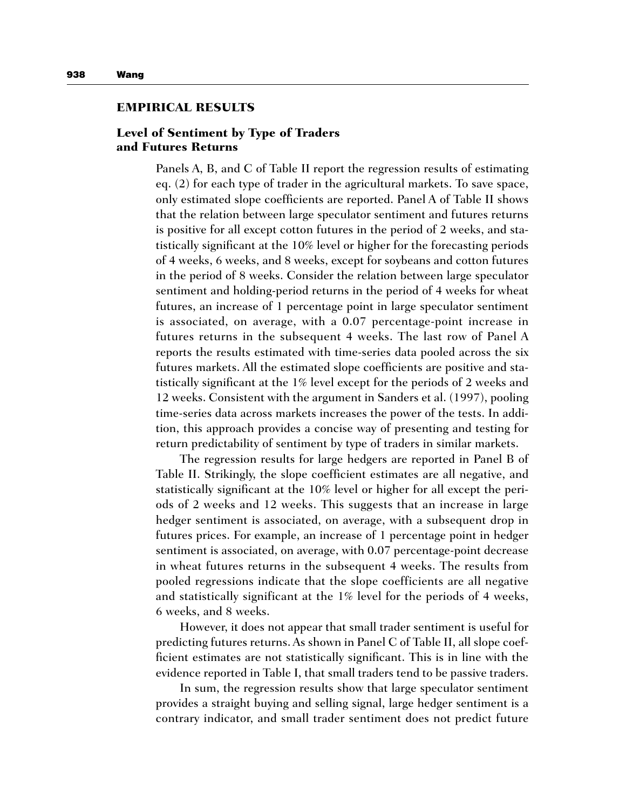#### **EMPIRICAL RESULTS**

# **Level of Sentiment by Type of Traders and Futures Returns**

Panels A, B, and C of Table II report the regression results of estimating eq. (2) for each type of trader in the agricultural markets. To save space, only estimated slope coefficients are reported. Panel A of Table II shows that the relation between large speculator sentiment and futures returns is positive for all except cotton futures in the period of 2 weeks, and statistically significant at the 10% level or higher for the forecasting periods of 4 weeks, 6 weeks, and 8 weeks, except for soybeans and cotton futures in the period of 8 weeks. Consider the relation between large speculator sentiment and holding-period returns in the period of 4 weeks for wheat futures, an increase of 1 percentage point in large speculator sentiment is associated, on average, with a 0.07 percentage-point increase in futures returns in the subsequent 4 weeks. The last row of Panel A reports the results estimated with time-series data pooled across the six futures markets. All the estimated slope coefficients are positive and statistically significant at the 1% level except for the periods of 2 weeks and 12 weeks. Consistent with the argument in Sanders et al. (1997), pooling time-series data across markets increases the power of the tests. In addition, this approach provides a concise way of presenting and testing for return predictability of sentiment by type of traders in similar markets.

The regression results for large hedgers are reported in Panel B of Table II. Strikingly, the slope coefficient estimates are all negative, and statistically significant at the 10% level or higher for all except the periods of 2 weeks and 12 weeks. This suggests that an increase in large hedger sentiment is associated, on average, with a subsequent drop in futures prices. For example, an increase of 1 percentage point in hedger sentiment is associated, on average, with 0.07 percentage-point decrease in wheat futures returns in the subsequent 4 weeks. The results from pooled regressions indicate that the slope coefficients are all negative and statistically significant at the 1% level for the periods of 4 weeks, 6 weeks, and 8 weeks.

However, it does not appear that small trader sentiment is useful for predicting futures returns. As shown in Panel C of Table II, all slope coefficient estimates are not statistically significant. This is in line with the evidence reported in Table I, that small traders tend to be passive traders.

In sum, the regression results show that large speculator sentiment provides a straight buying and selling signal, large hedger sentiment is a contrary indicator, and small trader sentiment does not predict future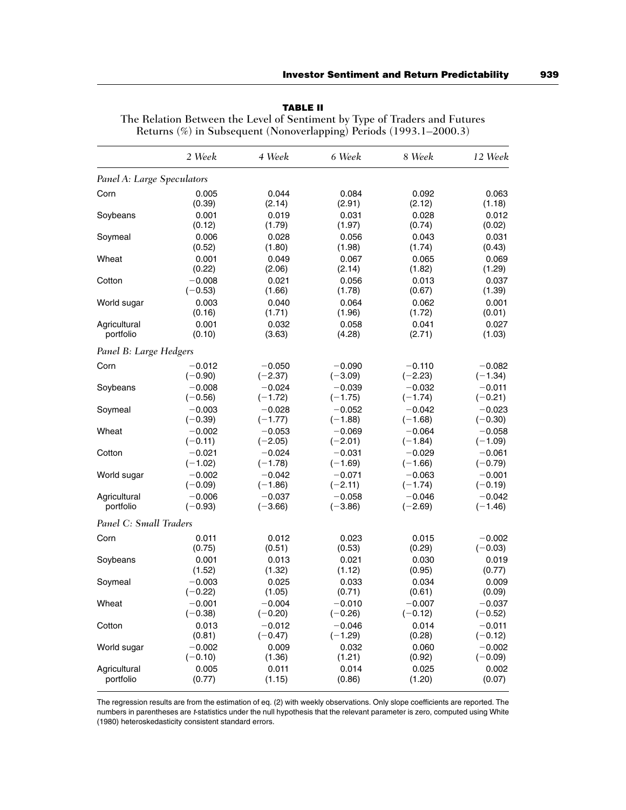#### **TABLE II**

The Relation Between the Level of Sentiment by Type of Traders and Futures Returns (%) in Subsequent (Nonoverlapping) Periods (1993.1–2000.3)

|                            | 2 Week    | 4 Week    | 6 Week    | 8 Week    | 12 Week   |
|----------------------------|-----------|-----------|-----------|-----------|-----------|
| Panel A: Large Speculators |           |           |           |           |           |
| Corn                       | 0.005     | 0.044     | 0.084     | 0.092     | 0.063     |
|                            | (0.39)    | (2.14)    | (2.91)    | (2.12)    | (1.18)    |
| Soybeans                   | 0.001     | 0.019     | 0.031     | 0.028     | 0.012     |
|                            | (0.12)    | (1.79)    | (1.97)    | (0.74)    | (0.02)    |
| Soymeal                    | 0.006     | 0.028     | 0.056     | 0.043     | 0.031     |
|                            | (0.52)    | (1.80)    | (1.98)    | (1.74)    | (0.43)    |
| Wheat                      | 0.001     | 0.049     | 0.067     | 0.065     | 0.069     |
|                            | (0.22)    | (2.06)    | (2.14)    | (1.82)    | (1.29)    |
| Cotton                     | $-0.008$  | 0.021     | 0.056     | 0.013     | 0.037     |
|                            | $(-0.53)$ | (1.66)    | (1.78)    | (0.67)    | (1.39)    |
| World sugar                | 0.003     | 0.040     | 0.064     | 0.062     | 0.001     |
|                            | (0.16)    | (1.71)    | (1.96)    | (1.72)    | (0.01)    |
| Agricultural               | 0.001     | 0.032     | 0.058     | 0.041     | 0.027     |
| portfolio                  | (0.10)    | (3.63)    | (4.28)    | (2.71)    | (1.03)    |
| Panel B: Large Hedgers     |           |           |           |           |           |
| Corn                       | $-0.012$  | $-0.050$  | $-0.090$  | $-0.110$  | $-0.082$  |
|                            | $(-0.90)$ | $(-2.37)$ | $(-3.09)$ | $(-2.23)$ | $(-1.34)$ |
| Soybeans                   | $-0.008$  | $-0.024$  | $-0.039$  | $-0.032$  | $-0.011$  |
|                            | $(-0.56)$ | $(-1.72)$ | $(-1.75)$ | $(-1.74)$ | $(-0.21)$ |
| Soymeal                    | $-0.003$  | $-0.028$  | $-0.052$  | $-0.042$  | $-0.023$  |
|                            | $(-0.39)$ | $(-1.77)$ | $(-1.88)$ | $(-1.68)$ | $(-0.30)$ |
| Wheat                      | $-0.002$  | $-0.053$  | $-0.069$  | $-0.064$  | $-0.058$  |
|                            | $(-0.11)$ | $(-2.05)$ | $(-2.01)$ | $(-1.84)$ | $(-1.09)$ |
| Cotton                     | $-0.021$  | $-0.024$  | $-0.031$  | $-0.029$  | $-0.061$  |
|                            | $(-1.02)$ | $(-1.78)$ | $(-1.69)$ | $(-1.66)$ | $(-0.79)$ |
| World sugar                | $-0.002$  | $-0.042$  | $-0.071$  | $-0.063$  | $-0.001$  |
|                            | $(-0.09)$ | $(-1.86)$ | $(-2.11)$ | $(-1.74)$ | $(-0.19)$ |
| Agricultural               | $-0.006$  | $-0.037$  | $-0.058$  | $-0.046$  | $-0.042$  |
| portfolio                  | $(-0.93)$ | $(-3.66)$ | $(-3.86)$ | $(-2.69)$ | $(-1.46)$ |
| Panel C: Small Traders     |           |           |           |           |           |
| Corn                       | 0.011     | 0.012     | 0.023     | 0.015     | $-0.002$  |
|                            | (0.75)    | (0.51)    | (0.53)    | (0.29)    | $(-0.03)$ |
| Soybeans                   | 0.001     | 0.013     | 0.021     | 0.030     | 0.019     |
|                            | (1.52)    | (1.32)    | (1.12)    | (0.95)    | (0.77)    |
| Soymeal                    | $-0.003$  | 0.025     | 0.033     | 0.034     | 0.009     |
|                            | $(-0.22)$ | (1.05)    | (0.71)    | (0.61)    | (0.09)    |
| Wheat                      | $-0.001$  | $-0.004$  | $-0.010$  | $-0.007$  | $-0.037$  |
|                            | $(-0.38)$ | $(-0.20)$ | $(-0.26)$ | $(-0.12)$ | $(-0.52)$ |
| Cotton                     | 0.013     | $-0.012$  | $-0.046$  | 0.014     | $-0.011$  |
|                            | (0.81)    | $(-0.47)$ | $(-1.29)$ | (0.28)    | $(-0.12)$ |
| World sugar                | $-0.002$  | 0.009     | 0.032     | 0.060     | $-0.002$  |
|                            | $(-0.10)$ | (1.36)    | (1.21)    | (0.92)    | $(-0.09)$ |
| Agricultural               | 0.005     | 0.011     | 0.014     | 0.025     | 0.002     |
| portfolio                  | (0.77)    | (1.15)    | (0.86)    | (1.20)    | (0.07)    |

The regression results are from the estimation of eq. (2) with weekly observations. Only slope coefficients are reported. The numbers in parentheses are t-statistics under the null hypothesis that the relevant parameter is zero, computed using White (1980) heteroskedasticity consistent standard errors.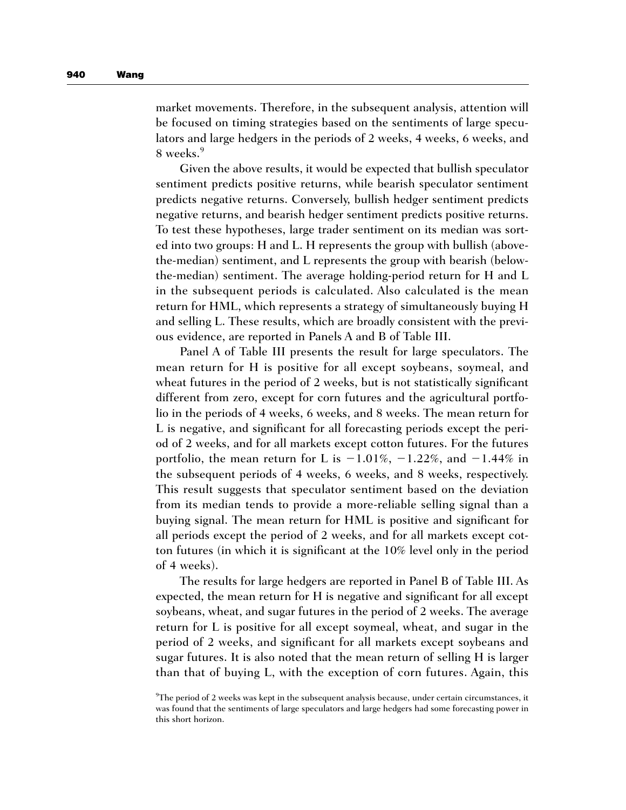market movements. Therefore, in the subsequent analysis, attention will be focused on timing strategies based on the sentiments of large speculators and large hedgers in the periods of 2 weeks, 4 weeks, 6 weeks, and 8 weeks.<sup>9</sup>

Given the above results, it would be expected that bullish speculator sentiment predicts positive returns, while bearish speculator sentiment predicts negative returns. Conversely, bullish hedger sentiment predicts negative returns, and bearish hedger sentiment predicts positive returns. To test these hypotheses, large trader sentiment on its median was sorted into two groups: H and L. H represents the group with bullish (abovethe-median) sentiment, and L represents the group with bearish (belowthe-median) sentiment. The average holding-period return for H and L in the subsequent periods is calculated. Also calculated is the mean return for HML, which represents a strategy of simultaneously buying H and selling L. These results, which are broadly consistent with the previous evidence, are reported in Panels A and B of Table III.

Panel A of Table III presents the result for large speculators. The mean return for H is positive for all except soybeans, soymeal, and wheat futures in the period of 2 weeks, but is not statistically significant different from zero, except for corn futures and the agricultural portfolio in the periods of 4 weeks, 6 weeks, and 8 weeks. The mean return for L is negative, and significant for all forecasting periods except the period of 2 weeks, and for all markets except cotton futures. For the futures portfolio, the mean return for L is  $-1.01\%$ ,  $-1.22\%$ , and  $-1.44\%$  in the subsequent periods of 4 weeks, 6 weeks, and 8 weeks, respectively. This result suggests that speculator sentiment based on the deviation from its median tends to provide a more-reliable selling signal than a buying signal. The mean return for HML is positive and significant for all periods except the period of 2 weeks, and for all markets except cotton futures (in which it is significant at the 10% level only in the period of 4 weeks).

The results for large hedgers are reported in Panel B of Table III. As expected, the mean return for H is negative and significant for all except soybeans, wheat, and sugar futures in the period of 2 weeks. The average return for L is positive for all except soymeal, wheat, and sugar in the period of 2 weeks, and significant for all markets except soybeans and sugar futures. It is also noted that the mean return of selling H is larger than that of buying L, with the exception of corn futures. Again, this

 $^9$ The period of 2 weeks was kept in the subsequent analysis because, under certain circumstances, it was found that the sentiments of large speculators and large hedgers had some forecasting power in this short horizon.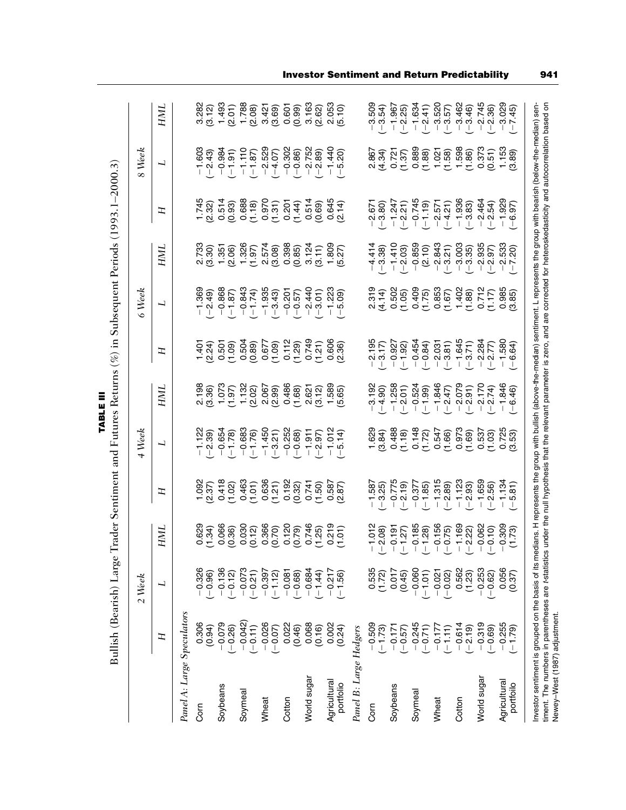|                            |                       | 2 Week                |                                                                 |                                                                                     | 4 Week                                                                                                                                                                                                                                                                                             |                                             |                                                                                                 | 6 Week                                         |                                                                                                                                                                                                                                                                                   |                                                                                                                                                                                                                                                                                      | 8 Week                                                       |                                                                   |
|----------------------------|-----------------------|-----------------------|-----------------------------------------------------------------|-------------------------------------------------------------------------------------|----------------------------------------------------------------------------------------------------------------------------------------------------------------------------------------------------------------------------------------------------------------------------------------------------|---------------------------------------------|-------------------------------------------------------------------------------------------------|------------------------------------------------|-----------------------------------------------------------------------------------------------------------------------------------------------------------------------------------------------------------------------------------------------------------------------------------|--------------------------------------------------------------------------------------------------------------------------------------------------------------------------------------------------------------------------------------------------------------------------------------|--------------------------------------------------------------|-------------------------------------------------------------------|
|                            | エ                     | ᅴ                     | HMI                                                             | H                                                                                   | ᅴ                                                                                                                                                                                                                                                                                                  | HML                                         | エ                                                                                               | ᅴ                                              | HMI                                                                                                                                                                                                                                                                               | H                                                                                                                                                                                                                                                                                    | ᅴ                                                            | HML                                                               |
| Panel A: Large Speculators |                       |                       |                                                                 |                                                                                     |                                                                                                                                                                                                                                                                                                    |                                             |                                                                                                 |                                                |                                                                                                                                                                                                                                                                                   |                                                                                                                                                                                                                                                                                      |                                                              |                                                                   |
| Corn                       | 0.306<br>(0.94)       | 0.326<br>$-0.96$      | 0.629                                                           |                                                                                     |                                                                                                                                                                                                                                                                                                    |                                             |                                                                                                 | $-1.369$<br>$(-2.49)$                          |                                                                                                                                                                                                                                                                                   |                                                                                                                                                                                                                                                                                      | $-1,603$<br>$-2.43$                                          | 3.282<br>(3.12)                                                   |
| Soybeans                   | $-0.079$<br>$(-0.26)$ | $-0.136$<br>$(-0.12)$ | $(1.34)$<br>0.066<br>0.36)                                      | $\begin{array}{c} 1.092 \\ (2.37) \\ 0.418 \\ (1.02) \end{array}$                   |                                                                                                                                                                                                                                                                                                    | $2.198$<br>$(3.36)$<br>$(3.50)$<br>$(1.97)$ | $1,401$<br>$(2,24)$<br>$0,501$<br>$(1,09)$                                                      | $-0.868$<br>(-1.87)                            |                                                                                                                                                                                                                                                                                   | $1.745$<br>$(2.32)$<br>$0.514$<br>$0.93$                                                                                                                                                                                                                                             | $(-1.91)$                                                    | (2.01)                                                            |
| Soymea                     | $-0.042$<br>$-0.11$   | $-0.073$<br>$(-0.21)$ |                                                                 |                                                                                     |                                                                                                                                                                                                                                                                                                    | $1.132$<br>$(2.02)$<br>$2.067$              |                                                                                                 | $-0.843$<br>$(-1.74)$                          |                                                                                                                                                                                                                                                                                   |                                                                                                                                                                                                                                                                                      | $-1.110$<br>$(-1.87)$                                        |                                                                   |
| Wheat                      | $-0.026$<br>$(-0.07)$ | $-0.397$<br>$(-1.12)$ | $\begin{array}{c} 0.030 \\ 0.12) \\ 0.366 \\ 0.070 \end{array}$ |                                                                                     |                                                                                                                                                                                                                                                                                                    | (2.99)                                      | 0.504<br>0.677<br>0.000<br>0.000<br>0.000                                                       | $-1.935$<br>$(-3.43)$                          |                                                                                                                                                                                                                                                                                   |                                                                                                                                                                                                                                                                                      | $-2.529$<br>$(-4.07)$                                        | $\begin{array}{c} 1.788 \\ (2.08) \\ 3.421 \\ (3.69) \end{array}$ |
| Cotton                     | 0.022<br>(0.46)       | $-0.081$<br>$(-0.68)$ | $0.120$<br>$(0.79)$                                             | $\begin{array}{c} 0.463 \\ -0.636 \\ 0.636 \\ -0.636 \\ 0.192 \\ 0.032 \end{array}$ |                                                                                                                                                                                                                                                                                                    | 0.486<br>(1.68)                             | (1.29)                                                                                          | $-0.201$<br>$(-0.57)$                          |                                                                                                                                                                                                                                                                                   |                                                                                                                                                                                                                                                                                      |                                                              | 0.601<br>(0.99)                                                   |
| World sugar                | 0.068<br>(0.16)       | $-0.684$<br>$(-1.44)$ | 0.746<br>(1.25)                                                 | (1.50)                                                                              |                                                                                                                                                                                                                                                                                                    | 2.621<br>(3.12)                             | 0.749                                                                                           |                                                |                                                                                                                                                                                                                                                                                   |                                                                                                                                                                                                                                                                                      |                                                              | 3.163<br>(2.62)                                                   |
| Agricultural<br>portfolio  | 0.002<br>(0.24)       | $-0.217$<br>$-1.56$   | $rac{10}{210}$<br>$\circ$                                       | 0.587<br>787)                                                                       | $\begin{array}{l} 2200\\ 71.730\\ -1.000\\ -1.000\\ -1.000\\ -1.000\\ -1.000\\ -1.000\\ -1.000\\ -1.000\\ -1.000\\ -1.000\\ -1.000\\ -1.000\\ -1.000\\ -1.000\\ -1.000\\ -1.000\\ -1.000\\ -1.000\\ -1.000\\ -1.000\\ -1.000\\ -1.000\\ -1.000\\ -1.000\\ -1.000\\ -1.000\\ -1.000\\ -1.000\\ -1.$ | 1.589<br>5.65)                              | $(1.21)$<br>0.606<br>(2.36)                                                                     | $-2.440$<br>$(-3.01)$<br>$-1.223$<br>$(-5.09)$ | $\begin{array}{l} 0.65 & 0.65 & 0.67 & 0.67 \\ 0.65 & 0.65 & 0.67 & 0.67 & 0.67 \\ 0.65 & 0.65 & 0.67 & 0.67 & 0.67 \\ 0.65 & 0.65 & 0.67 & 0.67 & 0.67 \\ 0.65 & 0.65 & 0.67 & 0.67 & 0.67 \\ 0.65 & 0.67 & 0.67 & 0.67 & 0.67 \\ 0.67 & 0.67 & 0.67 & 0.67 & 0.67 \\ 0.67 & 0.$ | $\begin{array}{l} 0.688\\[-1.18pt] 0.970\\[-1.18pt] 0.971\\[-1.18pt] 0.071\\[-1.18pt] 0.000\\[-1.18pt] 0.000\\[-1.18pt] 0.000\\[-1.18pt] 0.000\\[-1.18pt] 0.000\\[-1.18pt] 0.000\\[-1.18pt] 0.000\\[-1.18pt] 0.000\\[-1.18pt] 0.000\\[-1.18pt] 0.000\\[-1.18pt] 0.000\\[-1.18pt] 0.$ | $-0.302$ $-0.86$ $-0.86$ $-0.752$ $-0.303$ $-0.304$ $-0.440$ | 2.053<br>5.10)                                                    |
| Panel B: Large Hedgers     |                       |                       |                                                                 |                                                                                     |                                                                                                                                                                                                                                                                                                    |                                             |                                                                                                 |                                                |                                                                                                                                                                                                                                                                                   |                                                                                                                                                                                                                                                                                      |                                                              |                                                                   |
| Corn                       | $-0.509$<br>$(-1.73)$ | 0.535<br>(1.72)       | $-1.012$<br>2.08                                                | $-1.587$<br>$(-3.25)$                                                               |                                                                                                                                                                                                                                                                                                    | $-3.192$<br>$-4.90$                         | $-2.195$<br>$-3.17$                                                                             | 2.319<br>(4.14)                                | $-4.414$<br>$-3.38$                                                                                                                                                                                                                                                               | $-2.671$<br>$-3.80$ )                                                                                                                                                                                                                                                                | 2.867<br>(4.34)                                              | 503<br>54)<br>က် ကို                                              |
| Soybeans                   | $-0.17$<br>$-0.57$    | 0.017<br>(0.45)       | $-0.191$<br>$-1.27$                                             | $-0.775$<br>$(-2.19)$                                                               | $1.629$<br>$(3.84)$<br>$0.488$<br>$(1.18)$                                                                                                                                                                                                                                                         | $-1,258$<br>$(-2,01)$                       | $-0.927$<br>$(-1.92)$                                                                           | 0.502<br>(1.05)                                | $-1.410$<br>$(-2.03)$                                                                                                                                                                                                                                                             | $-1.247$<br>$(-2.21)$                                                                                                                                                                                                                                                                | $0.721$<br>$(1.37)$                                          | 967<br>750<br>$7\frac{3}{1}$                                      |
| Soymea                     | $-0.245$<br>$(-0.71)$ | $-0.060$<br>$(-1.01)$ | $-0.185$<br>$-1.28$                                             | $-0.377$<br>$(-1.85)$                                                               |                                                                                                                                                                                                                                                                                                    | $-0.524$<br>$(-1.99)$                       |                                                                                                 | 0.409<br>(1.75)                                | $-0.859$<br>(2.10)                                                                                                                                                                                                                                                                | $-0.745$<br>$(-1.19)$                                                                                                                                                                                                                                                                | 0.889<br>(1.88)                                              | 634<br>$-1.634$<br>(-2.41)                                        |
| Wheat                      | $-0.177$<br>(11.11)   | $-0.021$<br>$(-0.02)$ | $-0.156$<br>$-0.75$                                             | $-1.315$<br>$(-2.89)$                                                               |                                                                                                                                                                                                                                                                                                    | $-1.846$<br>$(-2.47)$                       |                                                                                                 | 0.853                                          | $-2.843$<br>$(-3.21)$                                                                                                                                                                                                                                                             | $-2.571$<br>$-4.21$                                                                                                                                                                                                                                                                  | $1.021$<br>$(1.58)$                                          | $-3.520$<br>$(-3.57)$                                             |
| Cotton                     | $-0.614$<br>$(-2.19)$ | 0.562<br>(1.23)       | $-1.169$<br>$-2.22$                                             | $-1.123$<br>$(-2.93)$                                                               | $\begin{array}{c} 0.148 \\ 0.72) \\ 0.547 \\ 0.547 \\ 0.973 \\ 0.991 \\ 0.993 \\ \end{array}$                                                                                                                                                                                                      | $-2.079$<br>$(-2.91)$                       |                                                                                                 | $(1.67)$<br>1.402<br>(1.88)                    | $-3.003$<br>$(-3.35)$                                                                                                                                                                                                                                                             | $-1.936$<br>$(-3.83)$                                                                                                                                                                                                                                                                | $(1.598$<br>$(1.86)$                                         | $-3.462$<br>$(-3.46)$<br>$\mathsf{I}$                             |
| World sugar                | $-0.319$<br>$(-0.69)$ | $-0.253$<br>$-0.62$   | $-0.062$<br>$-0.10$                                             | $-1.659$<br>$(-2.56)$                                                               | 0.537<br>(1.03)                                                                                                                                                                                                                                                                                    | $-2.170$<br>$(-2.74)$                       | $-0.454$<br>$(-0.84)$<br>$(-0.81)$<br>$-2.031$<br>$(-3.61)$<br>$-1.645$<br>$-1.645$<br>$-2.284$ | 0.712<br>(1.17)                                | $-2.935$<br>$-2.97$                                                                                                                                                                                                                                                               | $-2.464$<br>$-2.54$                                                                                                                                                                                                                                                                  | (0.373)                                                      | $-2.745$<br>$-2.36$ )<br>J.                                       |
| Agricultural<br>portfoilo  | $-0.255$<br>$-1.79$   | 0.056<br>(0.37)       | $-0.309$<br>(1.73)                                              | $-1.134$<br>5.81                                                                    | 0.725<br>.53)<br>က                                                                                                                                                                                                                                                                                 | $-1.846$<br>$-6.46$                         | 580<br>64)<br>$ \phi$                                                                           | 0.985<br>3.85                                  | $-2.533$<br>$-7.20$ )                                                                                                                                                                                                                                                             | $-1.929$<br>67)<br>$\frac{6}{1}$                                                                                                                                                                                                                                                     | 1.153<br>(3.89)                                              | 88<br>45)<br>$\sim$ $\sim$                                        |

TABLE III **TABLE III** **Investor Sentiment and Return Predictability 941**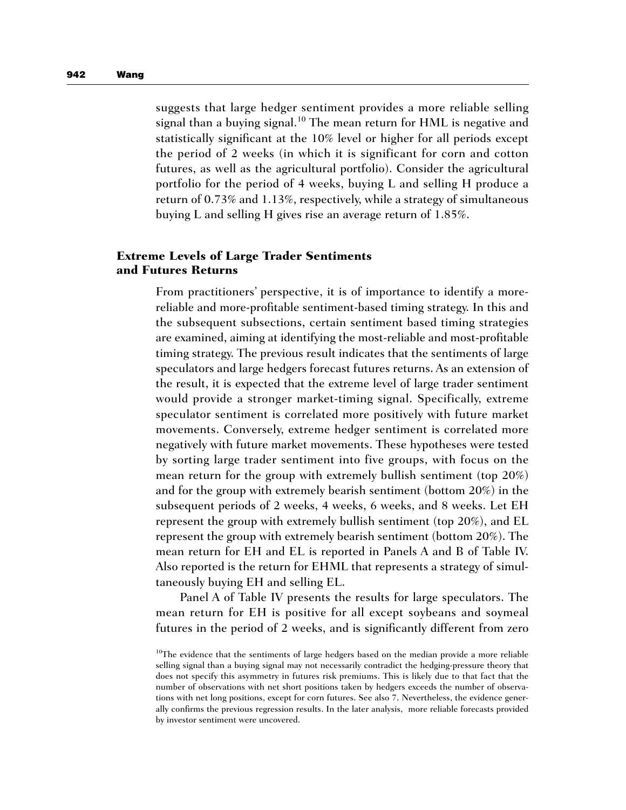suggests that large hedger sentiment provides a more reliable selling signal than a buying signal.<sup>10</sup> The mean return for HML is negative and statistically significant at the 10% level or higher for all periods except the period of 2 weeks (in which it is significant for corn and cotton futures, as well as the agricultural portfolio). Consider the agricultural portfolio for the period of 4 weeks, buying L and selling H produce a return of 0.73% and 1.13%, respectively, while a strategy of simultaneous buying L and selling H gives rise an average return of 1.85%.

# **Extreme Levels of Large Trader Sentiments and Futures Returns**

From practitioners' perspective, it is of importance to identify a morereliable and more-profitable sentiment-based timing strategy. In this and the subsequent subsections, certain sentiment based timing strategies are examined, aiming at identifying the most-reliable and most-profitable timing strategy. The previous result indicates that the sentiments of large speculators and large hedgers forecast futures returns. As an extension of the result, it is expected that the extreme level of large trader sentiment would provide a stronger market-timing signal. Specifically, extreme speculator sentiment is correlated more positively with future market movements. Conversely, extreme hedger sentiment is correlated more negatively with future market movements. These hypotheses were tested by sorting large trader sentiment into five groups, with focus on the mean return for the group with extremely bullish sentiment (top 20%) and for the group with extremely bearish sentiment (bottom 20%) in the subsequent periods of 2 weeks, 4 weeks, 6 weeks, and 8 weeks. Let EH represent the group with extremely bullish sentiment (top 20%), and EL represent the group with extremely bearish sentiment (bottom 20%). The mean return for EH and EL is reported in Panels A and B of Table IV. Also reported is the return for EHML that represents a strategy of simultaneously buying EH and selling EL.

Panel A of Table IV presents the results for large speculators. The mean return for EH is positive for all except soybeans and soymeal futures in the period of 2 weeks, and is significantly different from zero

 $10$ The evidence that the sentiments of large hedgers based on the median provide a more reliable selling signal than a buying signal may not necessarily contradict the hedging-pressure theory that does not specify this asymmetry in futures risk premiums. This is likely due to that fact that the number of observations with net short positions taken by hedgers exceeds the number of observations with net long positions, except for corn futures. See also 7. Nevertheless, the evidence generally confirms the previous regression results. In the later analysis, more reliable forecasts provided by investor sentiment were uncovered.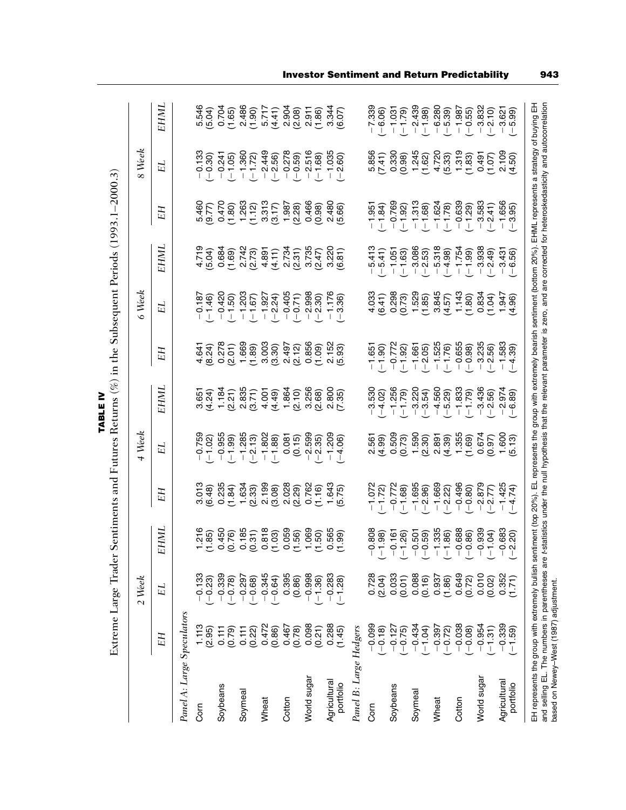|                            |                       | 2 Week                |                                                                               |                             | 4 Week                         |                             |                       | 6 Week                |                                            |                                                         | 8 Week                         |                         |
|----------------------------|-----------------------|-----------------------|-------------------------------------------------------------------------------|-----------------------------|--------------------------------|-----------------------------|-----------------------|-----------------------|--------------------------------------------|---------------------------------------------------------|--------------------------------|-------------------------|
|                            | EН                    | $E\Gamma$             | ЕНМІ                                                                          | EН                          | $E\Gamma$                      | INHE                        | EН                    | $E\Gamma$             | ЕНМІ                                       | EН                                                      | $E\Gamma$                      | EHML                    |
| Panel A: Large Speculators |                       |                       |                                                                               |                             |                                |                             |                       |                       |                                            |                                                         |                                |                         |
| Corn                       | 1.113<br>(2.95)       | $-0.133$<br>$-0.23$   | 1.216<br>(1.85)                                                               | 3.013<br>(6.48)             | $-0.759$<br>$-1.02$            | 3.651<br>(4.24)             | 4.641<br>(8.24)       | $-0.187$<br>$-1.46$   | 4.719<br>(5.04)                            | 5.460<br>(2.77)                                         | $-0.133$<br>$-0.30$            | 546<br>(5.04)<br>τÒ     |
| Soybeans                   | 0.111<br>(0.79)       | $-0.339$<br>$-0.78$   | 0.450<br>(0.76)                                                               | 0.235                       | $-0.955$<br>$(-1.99)$          | (2.21)                      | 0.278<br>(2.01)       | $-0.420$<br>$(-1.50)$ |                                            |                                                         | $-0.241$<br>$(-1.05)$          | 0.704<br>(1.65)         |
| Soymeal                    | 0.111<br>(0.22)       | $-0.297$<br>$(-0.68)$ | $\frac{0.185}{(0.31)}$                                                        | $(1.84)$<br>1.634<br>(2.33) | $-1.285$<br>$(-2.13)$          | 2.835<br>(3.71)             | (1.669)               | $-1.203$<br>$(-1.67)$ | 0.684<br>(1.69)<br>2.742<br>2.73)          | $0.470$<br>$0.80$<br>$0.260$<br>$0.72$<br>$0.72$        | $-1.360$<br>$(-1.72)$          | $2.486$<br>(1.90)       |
| Wheat                      | 0.472<br>(0.86)       | $-0.345$<br>$(-0.64)$ | $\begin{array}{c} 0.818 \\ (1.03) \end{array}$                                | 2.199<br>(3.028<br>2.028    | $-1.802$<br>$(-1.88)$          | 4.001<br>(4.49)             | $3.003$<br>$(3.30)$   | $-1.927$<br>$(-2.24)$ |                                            | $\begin{array}{c} 3.313 \\ (3.17) \\ 1.987 \end{array}$ | $-2.449$<br>$(-2.56)$          | $5.717$<br>(4.41)       |
| Cotton                     | 0.467<br>(0.78)       | 0.395<br>(0.86)       | $0.059$<br>$(1.56)$                                                           | (2.29)                      | 0.081<br>(0.15)                | 1.864<br>(2.10)             | 2.497<br>(2.12)       | $-0.405$<br>$-0.71$   | $4.891$<br>$(4.11)$<br>$2.734$<br>$(2.31)$ | (2.28)                                                  | $-0.278$<br>$(-0.59)$          | 2.904<br>(2.08)         |
| World sugar                | 0.098<br>(0.21)       | $-0.998$<br>$-1.36$   | (1.50)                                                                        | 0.762                       | $-2.599$<br>$(-2.35)$          | 3.256<br>(2.68)             | 0.856<br>(0.1)        | $-2.998$<br>$(-2.30)$ |                                            | 0.466                                                   | $-2.516$<br>$(-1.68)$          | 2.911<br>(1.86)         |
| Agricultural<br>portfolio  | 0.288<br>(1.45)       | $-0.283$<br>$-1.28$   | 565<br>(66)<br>$\circ$ $\cdot$                                                | $(1.16)$<br>$1.643$<br>5.75 | $-1.209$<br>$-4.06$            | 2.800                       | 2.152<br>(5.93)       | $-1.176$<br>$-3.36$   | $3.735$<br>$(2.47)$<br>$3.220$<br>$(6.81)$ | $(0.98)$<br>2.480<br>(5.66)                             | $-1.035$<br>$-2.60$            | 3.344<br>(6.07)         |
| Panel B: Large Hedgers     |                       |                       |                                                                               |                             |                                |                             |                       |                       |                                            |                                                         |                                |                         |
| Corn                       | $-0.099$<br>$(-0.18)$ | 0.728<br>(2.04)       | 0.808<br>1.98)<br>⊥                                                           | $-1.072$<br>$(-1.72)$       | 2.561<br>(4.99)                | $-3.530$<br>$(-4.02)$       | $-1.651$<br>$(-1.90)$ | 4.033<br>(6.41)       | $-5.413$<br>$(-5.41)$                      | $-1.951$<br>$(-1.84)$                                   | 5.856<br>(7.41)                | $-7.339$<br>$(-6.06)$   |
| Soybeans                   | $-0.127$<br>$(-0.75)$ | 0.033<br>(0.01)       | $-0.161$<br>$-1.26$<br>J.                                                     | $-0.772$<br>$-1.68$         | 0.509<br>(0.73)                | .256<br>$(-1.79)$           | $-0.772$<br>$(-1.92)$ | 0.73)                 | $-1.63$<br>$-1.051$                        | $-0.769$<br>$(-1.92)$                                   | 0.330<br>(0.98)                | $-1.031$<br>$(-1.79)$   |
| Soymea                     | $-0.434$<br>$(-1.04)$ | 0.088<br>(0.16)       | 0.501<br>(65.0)<br>$\overline{\phantom{a}}$                                   | $-1.695$<br>$(-2.96)$       | 1.590<br>(2.30)                | $-3.220$<br>$(-3.54)$       | $-1.661$<br>$(-2.05)$ | 1.529<br>(1.85)       | $-3.086$<br>$(-2.53)$                      | 313<br>$(-1.68)$<br>Ť                                   | 1.245<br>(1.62)                | $-2.439$<br>(-1.98)     |
| Wheat                      | $-0.397$<br>$(-0.72)$ | 0.937<br>(1.86)       | $-1.335$<br>$-1.86$ )<br>$\overline{\phantom{a}}$<br>$\overline{\phantom{a}}$ | $-1.669$<br>$(-2.22)$       | $2.891$<br>$(4.39)$<br>$1.355$ | $-4,560$<br>$(-5,29)$       | $-1.525$<br>$-1.76$   | $3.845$<br>(4.57)     | 318<br>$(-4.98)$<br>$\frac{1}{2}$          | .624<br>$(-1.78)$<br>$\vec{a}$                          | 4.720<br>(5.33)                | $-6.280$<br>$(-5.39)$   |
| Cotton                     | $-0.038$<br>$(-0.08)$ | 0.649<br>(0.72)       | 0.688<br>0.86<br>┚                                                            | $-0.496$<br>$(-0.80)$       | (1.69)                         | $-1.833$<br>$(-1.79)$       | $-0.655$<br>$-0.98$   | 1.143<br>(1.80)       | $(-1.754$<br>$(-1.99)$                     | $-0.639$<br>$(-1.29)$                                   | 1.319<br>(1.83)                | $-1.987$<br>$(-0.55)$   |
| World sugar                | $-0.954$<br>$(-1.31)$ | 0.010<br>(0.02)       | 0.939<br>1.04<br>$\overline{\phantom{a}}$<br>T                                | 2.879<br>$(-2.77)$          | 0.674<br>(0.97)                | $-3.436$<br>$(-2.56)$       | $-3.235$<br>$-2.56$   | 0.834<br>(1.04)       | $-3.938$<br>$(-2.49)$                      | $-3.583$<br>$(-2.41)$                                   | 0.491<br>(1.07)                | $-3.832$<br>$(-2.10)$   |
| Agricultural<br>portfolio  | $-0.339$<br>$-1.59$   | 0.352<br>(1.71)       | 0.683<br>(05<br>$\sim$<br>⊥                                                   | $-1.425$<br>$-4.74$         | 1.600<br>(5.13)                | 974<br>6.89<br>$\sim$<br>J. | $-1.583$<br>$-4.39$   | 1.947<br>(4.96)       | 3.431<br>6.56<br>$\mathbf{I}$              | $-1.656$<br>3.95<br>L                                   | 2.109<br>$\overline{50}$<br>Ξ. | $3.621$<br>$5.99$<br>J. |

TABLE IV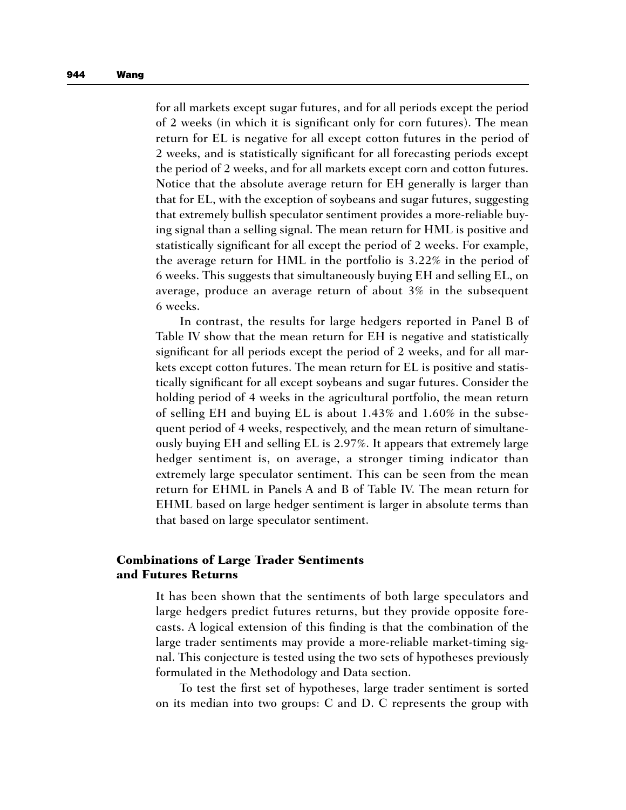for all markets except sugar futures, and for all periods except the period of 2 weeks (in which it is significant only for corn futures). The mean return for EL is negative for all except cotton futures in the period of 2 weeks, and is statistically significant for all forecasting periods except the period of 2 weeks, and for all markets except corn and cotton futures. Notice that the absolute average return for EH generally is larger than that for EL, with the exception of soybeans and sugar futures, suggesting that extremely bullish speculator sentiment provides a more-reliable buying signal than a selling signal. The mean return for HML is positive and statistically significant for all except the period of 2 weeks. For example, the average return for HML in the portfolio is 3.22% in the period of 6 weeks. This suggests that simultaneously buying EH and selling EL, on average, produce an average return of about 3% in the subsequent 6 weeks.

In contrast, the results for large hedgers reported in Panel B of Table IV show that the mean return for EH is negative and statistically significant for all periods except the period of 2 weeks, and for all markets except cotton futures. The mean return for EL is positive and statistically significant for all except soybeans and sugar futures. Consider the holding period of 4 weeks in the agricultural portfolio, the mean return of selling EH and buying EL is about 1.43% and 1.60% in the subsequent period of 4 weeks, respectively, and the mean return of simultaneously buying EH and selling EL is 2.97%. It appears that extremely large hedger sentiment is, on average, a stronger timing indicator than extremely large speculator sentiment. This can be seen from the mean return for EHML in Panels A and B of Table IV. The mean return for EHML based on large hedger sentiment is larger in absolute terms than that based on large speculator sentiment.

# **Combinations of Large Trader Sentiments and Futures Returns**

It has been shown that the sentiments of both large speculators and large hedgers predict futures returns, but they provide opposite forecasts. A logical extension of this finding is that the combination of the large trader sentiments may provide a more-reliable market-timing signal. This conjecture is tested using the two sets of hypotheses previously formulated in the Methodology and Data section.

To test the first set of hypotheses, large trader sentiment is sorted on its median into two groups: C and D. C represents the group with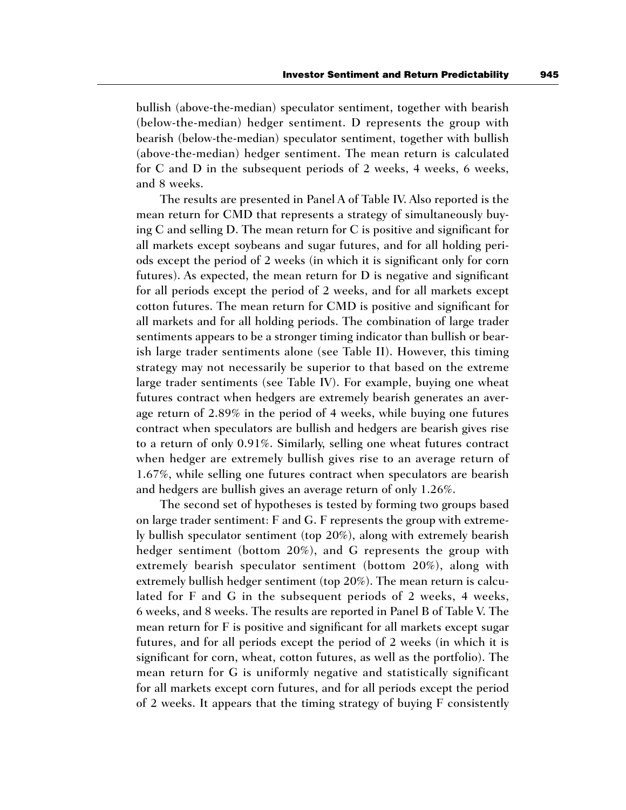bullish (above-the-median) speculator sentiment, together with bearish (below-the-median) hedger sentiment. D represents the group with bearish (below-the-median) speculator sentiment, together with bullish (above-the-median) hedger sentiment. The mean return is calculated for C and D in the subsequent periods of 2 weeks, 4 weeks, 6 weeks, and 8 weeks.

The results are presented in Panel A of Table IV. Also reported is the mean return for CMD that represents a strategy of simultaneously buying C and selling D. The mean return for C is positive and significant for all markets except soybeans and sugar futures, and for all holding periods except the period of 2 weeks (in which it is significant only for corn futures). As expected, the mean return for D is negative and significant for all periods except the period of 2 weeks, and for all markets except cotton futures. The mean return for CMD is positive and significant for all markets and for all holding periods. The combination of large trader sentiments appears to be a stronger timing indicator than bullish or bearish large trader sentiments alone (see Table II). However, this timing strategy may not necessarily be superior to that based on the extreme large trader sentiments (see Table IV). For example, buying one wheat futures contract when hedgers are extremely bearish generates an average return of 2.89% in the period of 4 weeks, while buying one futures contract when speculators are bullish and hedgers are bearish gives rise to a return of only 0.91%. Similarly, selling one wheat futures contract when hedger are extremely bullish gives rise to an average return of 1.67%, while selling one futures contract when speculators are bearish and hedgers are bullish gives an average return of only 1.26%.

The second set of hypotheses is tested by forming two groups based on large trader sentiment: F and G. F represents the group with extremely bullish speculator sentiment (top 20%), along with extremely bearish hedger sentiment (bottom 20%), and G represents the group with extremely bearish speculator sentiment (bottom 20%), along with extremely bullish hedger sentiment (top 20%). The mean return is calculated for F and G in the subsequent periods of 2 weeks, 4 weeks, 6 weeks, and 8 weeks. The results are reported in Panel B of Table V. The mean return for F is positive and significant for all markets except sugar futures, and for all periods except the period of 2 weeks (in which it is significant for corn, wheat, cotton futures, as well as the portfolio). The mean return for G is uniformly negative and statistically significant for all markets except corn futures, and for all periods except the period of 2 weeks. It appears that the timing strategy of buying F consistently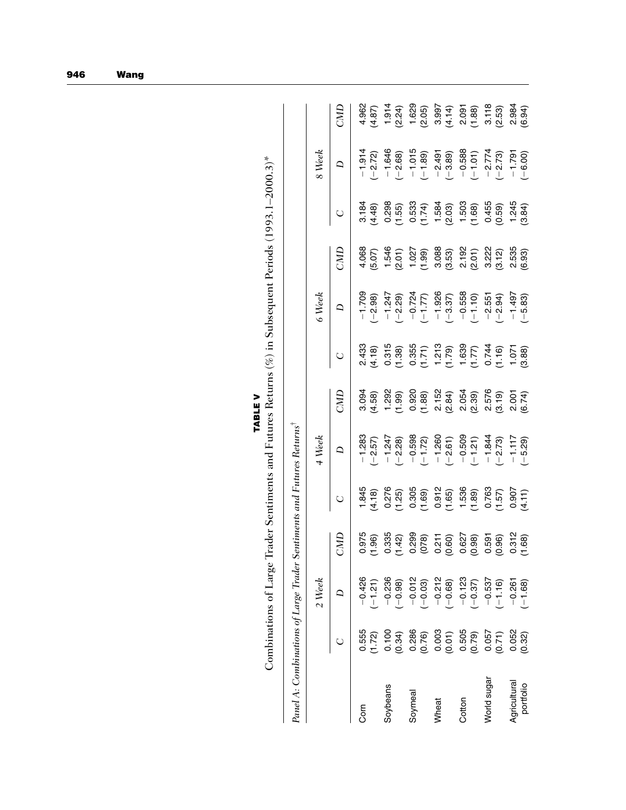| Panel A: Combinations of Large Trader Sentiments and Futures Returns <sup>1</sup> |                                                |                                                                       |                   |                                            |                                                |                                                                                                                                                                                                                                                                                                     |                                                                                                 |                                                                                                                 |                                                                                                                                                                                                                                                                                                                                                  |                                                                   |                         |                                                  |
|-----------------------------------------------------------------------------------|------------------------------------------------|-----------------------------------------------------------------------|-------------------|--------------------------------------------|------------------------------------------------|-----------------------------------------------------------------------------------------------------------------------------------------------------------------------------------------------------------------------------------------------------------------------------------------------------|-------------------------------------------------------------------------------------------------|-----------------------------------------------------------------------------------------------------------------|--------------------------------------------------------------------------------------------------------------------------------------------------------------------------------------------------------------------------------------------------------------------------------------------------------------------------------------------------|-------------------------------------------------------------------|-------------------------|--------------------------------------------------|
|                                                                                   |                                                | 2 Week                                                                |                   |                                            | 4 Week                                         |                                                                                                                                                                                                                                                                                                     |                                                                                                 | 6 Week                                                                                                          |                                                                                                                                                                                                                                                                                                                                                  |                                                                   | 8 Week                  |                                                  |
|                                                                                   |                                                |                                                                       | <b>CINC</b>       |                                            | ≏                                              | GNC                                                                                                                                                                                                                                                                                                 |                                                                                                 | Δ                                                                                                               | <b>GNC</b>                                                                                                                                                                                                                                                                                                                                       | $\cup$                                                            |                         | GNC                                              |
| Corn                                                                              | 0.555                                          | $-0.426$                                                              | 1.975             | (4.1845)                                   | $-1.283$<br>$-2.57$                            | (4.58)                                                                                                                                                                                                                                                                                              | 2.433                                                                                           | $-1.709$<br>(-2.98)                                                                                             | $4.068$<br>(5.07)                                                                                                                                                                                                                                                                                                                                | (4.48)                                                            | $-1.914$                | 4.962                                            |
| Soybeans                                                                          | (1.72)                                         | $(-1.21)$                                                             | .96)              |                                            |                                                |                                                                                                                                                                                                                                                                                                     | (4.18)                                                                                          |                                                                                                                 |                                                                                                                                                                                                                                                                                                                                                  |                                                                   | $(-2.72)$               | (1.87)                                           |
|                                                                                   | (0.34)                                         | $-0.236$<br>$(-0.98)$                                                 | 33<br>34<br>34    | $0.276$<br>(1.25)                          | $-1.247$<br>$(-2.28)$                          | (1.292)                                                                                                                                                                                                                                                                                             | (1.38)                                                                                          |                                                                                                                 | $1.546$<br>(2.01)                                                                                                                                                                                                                                                                                                                                | (1.55)                                                            | $-1.646$<br>$(-2.68)$   | (2.24)                                           |
| Soymeal                                                                           | 0.286<br>(0.76)<br>(0.003<br>(0.505)<br>(0.79) | $-0.012$<br>$(-0.03)$                                                 | 0.299<br>078)     | $0.305$<br>$(1.69)$<br>$0.912$<br>$(1.65)$ | $-0.598$<br>$(-1.72)$                          | $\begin{array}{l} 0.920 \\ 0.80 \\ 0.180 \\ 2.154 \\ 0.054 \\ 0.053 \\ 0.000 \\ 0.000 \\ 0.000 \\ 0.000 \\ 0.001 \\ 0.000 \\ 0.001 \\ 0.001 \\ 0.001 \\ 0.001 \\ 0.001 \\ 0.001 \\ 0.001 \\ 0.001 \\ 0.001 \\ 0.001 \\ 0.001 \\ 0.001 \\ 0.001 \\ 0.001 \\ 0.001 \\ 0.001 \\ 0.001 \\ 0.001 \\ 0.0$ | 0.355<br>1.71 (1.79)<br>1.89 (1.79)<br>1.89 (1.74<br>1.071 (1.071 (1.071 (1.79)<br>1.071 (1.16) | $\begin{array}{r} -1.247 \\ (-2.29) \\ -0.724 \\ (-1.77) \\ (-1.77) \\ -0.598 \\ (-3.37) \\ -0.558 \end{array}$ | $\begin{array}{r} 1.027 \\ -1.99 \\ -1.99 \\ -1.98 \\ -1.98 \\ -1.92 \\ -1.92 \\ -1.93 \\ -1.94 \\ -1.95 \\ -1.97 \\ -1.99 \\ -1.90 \\ -1.90 \\ -1.90 \\ -1.90 \\ -1.90 \\ -1.90 \\ -1.90 \\ -1.90 \\ -1.90 \\ -1.90 \\ -1.90 \\ -1.90 \\ -1.90 \\ -1.90 \\ -1.90 \\ -1.90 \\ -1.90 \\ -1.90 \\ -1.90 \\ -1.90 \\ -1.90 \\ -1.90 \\ -1.90 \\ -1$ | $0.533$<br>$(1.74)$<br>$1.584$<br>$(2.03)$<br>$1.503$<br>$(1.68)$ | $-1.015$<br>$(-1.89)$   | (2.05)                                           |
| Wheat                                                                             |                                                |                                                                       |                   |                                            |                                                |                                                                                                                                                                                                                                                                                                     |                                                                                                 |                                                                                                                 |                                                                                                                                                                                                                                                                                                                                                  |                                                                   |                         |                                                  |
|                                                                                   |                                                | $\begin{array}{r} -0.212 \\ (-0.68) \\ -0.123 \\ (-0.37) \end{array}$ | $0.211$<br>$0.60$ |                                            | $-1.260$<br>$(-2.61)$<br>$-0.509$<br>$(-1.21)$ |                                                                                                                                                                                                                                                                                                     |                                                                                                 |                                                                                                                 |                                                                                                                                                                                                                                                                                                                                                  |                                                                   | $-2.491$<br>$(-3.89)$   | $3.997$<br>$4.14$<br>$2.091$<br>$0.88$<br>$0.56$ |
| Cotton                                                                            |                                                |                                                                       | .627              |                                            |                                                |                                                                                                                                                                                                                                                                                                     |                                                                                                 |                                                                                                                 |                                                                                                                                                                                                                                                                                                                                                  |                                                                   |                         |                                                  |
|                                                                                   |                                                |                                                                       | (86)              | 1.536<br>(1.89)                            |                                                |                                                                                                                                                                                                                                                                                                     |                                                                                                 |                                                                                                                 |                                                                                                                                                                                                                                                                                                                                                  |                                                                   | $-0.588$<br>( $-1.01$ ) |                                                  |
| Norld sugar                                                                       |                                                |                                                                       | 591               |                                            |                                                |                                                                                                                                                                                                                                                                                                     |                                                                                                 |                                                                                                                 |                                                                                                                                                                                                                                                                                                                                                  |                                                                   |                         |                                                  |
|                                                                                   | (17.0)                                         | $-0.537$<br>$(-1.16)$                                                 | .96)              | 0.763<br>(1.57)                            |                                                |                                                                                                                                                                                                                                                                                                     |                                                                                                 |                                                                                                                 | 3.222<br>(3.12)                                                                                                                                                                                                                                                                                                                                  | $0.455$<br>$(0.59)$                                               | $-2.774$<br>$(-2.73)$   | $\frac{3.118}{(2.53)}$                           |
| Agricultural                                                                      |                                                |                                                                       | 312               |                                            |                                                |                                                                                                                                                                                                                                                                                                     |                                                                                                 |                                                                                                                 |                                                                                                                                                                                                                                                                                                                                                  |                                                                   |                         | 2.984                                            |
| portfolio                                                                         | 0.052<br>(0.32)                                | $-0.261$<br>$(-1.68)$                                                 | .68)              | (4.11)                                     | $-1.844$<br>$(-2.73)$<br>$-1.117$<br>$(-5.29)$ |                                                                                                                                                                                                                                                                                                     |                                                                                                 | $-2.551$<br>$(-2.94)$<br>$-1.497$<br>$(-5.83)$                                                                  | 2.535<br>(6.93)                                                                                                                                                                                                                                                                                                                                  | $1.245$<br>(3.84)                                                 | $-1.791$<br>(-6.00)     | (6.94)                                           |

 $\begin{array}{l} \textbf{TABLE 1} \\ \textbf{Combinations of Large Trade Sentiments and Futures Returns (\%) in Subsequent Periods (1993.1-2000.3)^\ast} \end{array}$ Combinations of Large Trader Sentiments and Futures Returns (%) in Subsequent Periods (1993.1–2000.3)\* **TABLE V**

**946 Wang**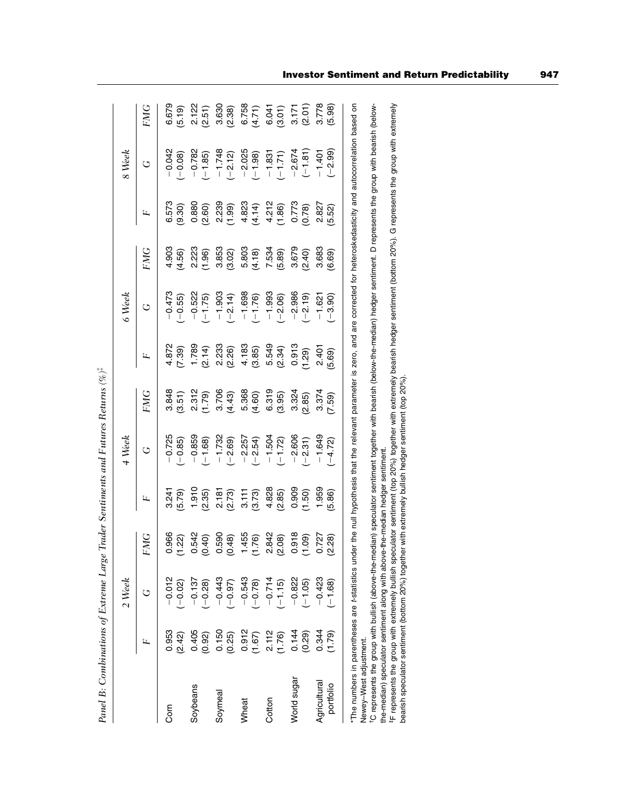|                                                                                                                                                                                                                                                                                                                                                                                                                                                                                                                                                             |                 | 2 Week                |                 |                 | 4 Week                |                 |                 | 6 Week                |                 |                 | 8 Week                |                     |
|-------------------------------------------------------------------------------------------------------------------------------------------------------------------------------------------------------------------------------------------------------------------------------------------------------------------------------------------------------------------------------------------------------------------------------------------------------------------------------------------------------------------------------------------------------------|-----------------|-----------------------|-----------------|-----------------|-----------------------|-----------------|-----------------|-----------------------|-----------------|-----------------|-----------------------|---------------------|
|                                                                                                                                                                                                                                                                                                                                                                                                                                                                                                                                                             |                 | C                     | <b>FMG</b>      | ц               | C                     | <b>FMG</b>      | ц               | C                     | <b>FMG</b>      | ц               | $\circ$               | <b>FMG</b>          |
| Corn                                                                                                                                                                                                                                                                                                                                                                                                                                                                                                                                                        | 0.953           | $-0.012$              | 0.966           | 3.241           | $-0.725$              | 3.848           | 4.872           | $-0.473$              | 4.903           | 6.573           | $-0.042$              | 6.679               |
| Soybeans                                                                                                                                                                                                                                                                                                                                                                                                                                                                                                                                                    | 0.405<br>(2.42) | $-0.137$<br>$(-0.02)$ | 0.542<br>(1.22) | 1.910<br>(5.79) | $-0.859$<br>$-0.85$   | 2.312<br>(3.51) | 1.789<br>(7.39) | $-0.522$<br>$(-0.55)$ | 2.223<br>(4.56) | 0.880<br>(9.30) | $-0.782$<br>$(-0.08)$ | 2.122<br>(5.19)     |
|                                                                                                                                                                                                                                                                                                                                                                                                                                                                                                                                                             | (0.92)          | $(-0.28)$             | (0.40)          | (2.35)          | $(-1.68)$             | (1.79)          | (2.14)          | $(-1.75)$             | (1.96)          | (2.60)          | $(-1.85)$             | (2.51)              |
| Soymeal                                                                                                                                                                                                                                                                                                                                                                                                                                                                                                                                                     | 0.150<br>(0.25) | $-0.443$<br>$(-0.97)$ | 0.590<br>(0.48) | 2.181<br>(2.73) | $-1.732$<br>$(-2.69)$ | 3.706<br>(4.43) | 2.233<br>(2.26) | $-1.903$<br>$(-2.14)$ | 3.853<br>(3.02) | 2.239<br>(1.99) | $-1.748$<br>$(-2.12)$ | 3.630<br>(2.38)     |
| Wheat                                                                                                                                                                                                                                                                                                                                                                                                                                                                                                                                                       | 0.912<br>(1.67) | $-0.543$<br>$(-0.78)$ | 1.455<br>(1.76) | 3.111<br>(3.73) | $-2.257$<br>$(-2.54)$ | 5.368<br>(4.60) | 4.183<br>(3.85) | $-1.698$<br>$(-1.76)$ | 5.803<br>(4.18) | 4.823<br>(4.14) | $-2.025$<br>$(-1.98)$ | 6.758<br>(4.71)     |
| Cotton                                                                                                                                                                                                                                                                                                                                                                                                                                                                                                                                                      | 2.112<br>(1.76) | $-0.714$<br>$(-1.15)$ | 2.842<br>(2.08) | 4.828<br>(2.85) | $-1.504$<br>$(-1.72)$ | 6.319<br>(3.95) | 5.549<br>(2.34) | $-1.993$<br>$(-2.06)$ | 7.534<br>(5.89) | 4.212<br>(1.86) | $-1.831$<br>$(-1.71)$ | $6.041$<br>$(3.01)$ |
| World sugar                                                                                                                                                                                                                                                                                                                                                                                                                                                                                                                                                 | 0.144<br>(0.29) | $-0.822$<br>$(-1.05)$ | 0.918<br>(1.09) | 0.909<br>(1.50) | $-2.606$<br>$(-2.31)$ | 3.324<br>(2.85) | 0.913<br>(1.29) | $-2.986$<br>$(-2.19)$ | 3.679<br>(2.40) | 0.773<br>(0.78) | $-2.674$<br>$(-1.81)$ | (2.171)             |
| Agricultural<br>portfolio                                                                                                                                                                                                                                                                                                                                                                                                                                                                                                                                   | 0.344<br>(1.79) | $-0.423$<br>$(-1.68)$ | 0.727<br>(2.28) | 1.959<br>(5.86) | $-1.649$<br>$-4.72$   | 3.374<br>(7.59) | 2.401<br>(69)   | $-1.621$<br>$-3.90$   | 3.683<br>(6.69) | 2.827<br>(5.52) | $-2.99$<br>$-1.401$   | 3.778<br>(5.98)     |
| <sup>1</sup> C represents the group with bullish (above-the-median) speculator sentiment together with bearish (below-the-median) hedger sentiment. D represents the group with bearish (below-<br>The numbers in parentheses are f-statistics under the null hypothesis that the relevant parameter is zero, and are corrected for heteroskedasticity and autocorrelation based on<br>the-median) speculator sentiment along with above-the-median hedger sentiment<br>ic dell'ud ul comone dilu cuite contro di l'internette di<br>Newey-West adjustment. |                 |                       |                 |                 |                       |                 |                 |                       |                 |                 |                       |                     |

res Returns  $(\%)^{\ddagger}$ *Panel B: Combinations of Extreme Large Trader Sentiments and Futures Returns (%)*‡ and Futu arge Trader Sentiments Panel B: Combinations of Extreme La

\*F represents the group with extremely bullish speculator sentiment (top 20%) together with extremely bearish hedger sentiment (bottom 20%). G represents the group with extremely<br>bearish speculator sentiment (bottom 20%) ‡F represents the group with extremely bullish speculator sentiment (top 20%) together with extremely bearish hedger sentiment (bottom 20%). G represents the group with extremely bearish speculator sentiment (bottom 20%) together with extremely bullish hedger sentiment (top 20%).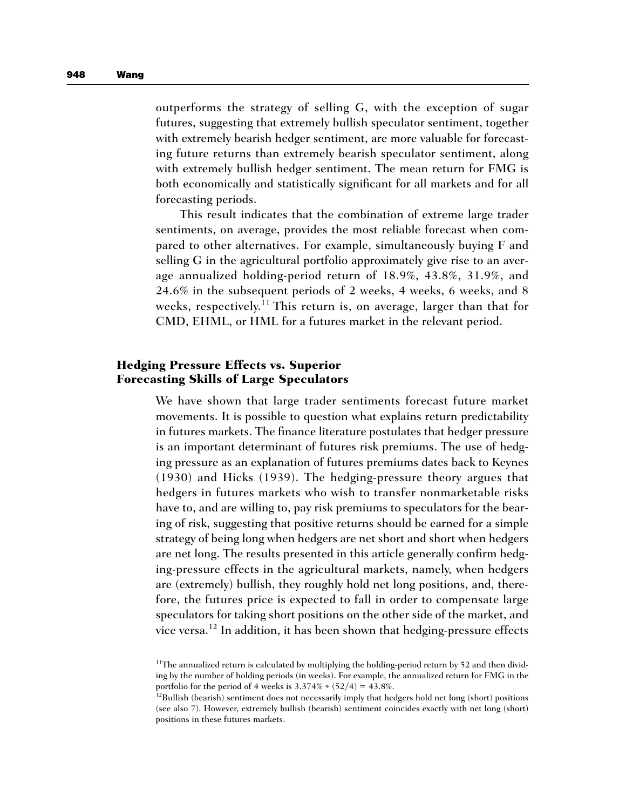outperforms the strategy of selling G, with the exception of sugar futures, suggesting that extremely bullish speculator sentiment, together with extremely bearish hedger sentiment, are more valuable for forecasting future returns than extremely bearish speculator sentiment, along with extremely bullish hedger sentiment. The mean return for FMG is both economically and statistically significant for all markets and for all forecasting periods.

This result indicates that the combination of extreme large trader sentiments, on average, provides the most reliable forecast when compared to other alternatives. For example, simultaneously buying F and selling G in the agricultural portfolio approximately give rise to an average annualized holding-period return of 18.9%, 43.8%, 31.9%, and 24.6% in the subsequent periods of 2 weeks, 4 weeks, 6 weeks, and 8 weeks, respectively.<sup>11</sup> This return is, on average, larger than that for CMD, EHML, or HML for a futures market in the relevant period.

# **Hedging Pressure Effects vs. Superior Forecasting Skills of Large Speculators**

We have shown that large trader sentiments forecast future market movements. It is possible to question what explains return predictability in futures markets. The finance literature postulates that hedger pressure is an important determinant of futures risk premiums. The use of hedging pressure as an explanation of futures premiums dates back to Keynes (1930) and Hicks (1939). The hedging-pressure theory argues that hedgers in futures markets who wish to transfer nonmarketable risks have to, and are willing to, pay risk premiums to speculators for the bearing of risk, suggesting that positive returns should be earned for a simple strategy of being long when hedgers are net short and short when hedgers are net long. The results presented in this article generally confirm hedging-pressure effects in the agricultural markets, namely, when hedgers are (extremely) bullish, they roughly hold net long positions, and, therefore, the futures price is expected to fall in order to compensate large speculators for taking short positions on the other side of the market, and vice versa.<sup>12</sup> In addition, it has been shown that hedging-pressure effects

 $11$ The annualized return is calculated by multiplying the holding-period return by 52 and then dividing by the number of holding periods (in weeks). For example, the annualized return for FMG in the portfolio for the period of 4 weeks is  $3.374\% * (52/4) = 43.8\%$ .

 $^{12}$ Bullish (bearish) sentiment does not necessarily imply that hedgers hold net long (short) positions (see also 7). However, extremely bullish (bearish) sentiment coincides exactly with net long (short) positions in these futures markets.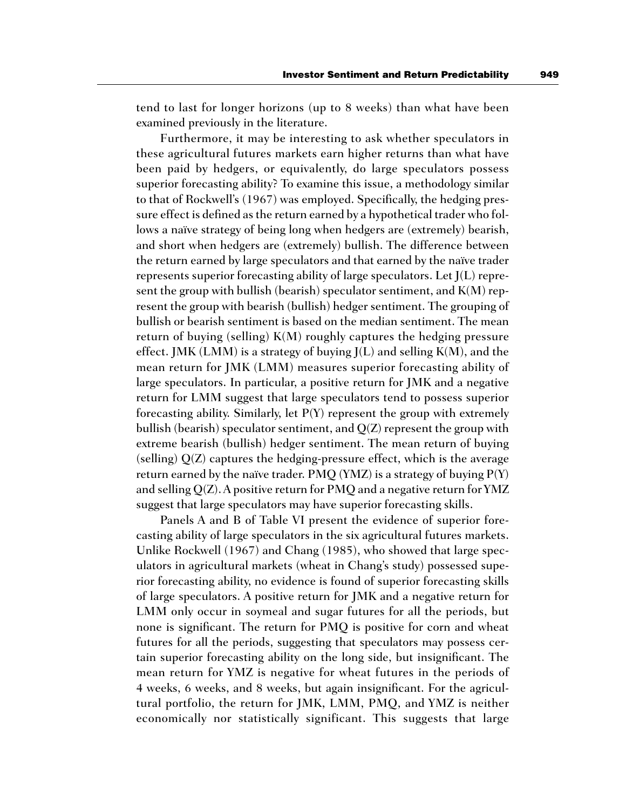tend to last for longer horizons (up to 8 weeks) than what have been examined previously in the literature.

Furthermore, it may be interesting to ask whether speculators in these agricultural futures markets earn higher returns than what have been paid by hedgers, or equivalently, do large speculators possess superior forecasting ability? To examine this issue, a methodology similar to that of Rockwell's (1967) was employed. Specifically, the hedging pressure effect is defined as the return earned by a hypothetical trader who follows a naïve strategy of being long when hedgers are (extremely) bearish, and short when hedgers are (extremely) bullish. The difference between the return earned by large speculators and that earned by the naïve trader represents superior forecasting ability of large speculators. Let J(L) represent the group with bullish (bearish) speculator sentiment, and K(M) represent the group with bearish (bullish) hedger sentiment. The grouping of bullish or bearish sentiment is based on the median sentiment. The mean return of buying (selling) K(M) roughly captures the hedging pressure effect. JMK (LMM) is a strategy of buying  $J(L)$  and selling  $K(M)$ , and the mean return for JMK (LMM) measures superior forecasting ability of large speculators. In particular, a positive return for JMK and a negative return for LMM suggest that large speculators tend to possess superior forecasting ability. Similarly, let P(Y) represent the group with extremely bullish (bearish) speculator sentiment, and Q(Z) represent the group with extreme bearish (bullish) hedger sentiment. The mean return of buying (selling) Q(Z) captures the hedging-pressure effect, which is the average return earned by the naïve trader. PMO (YMZ) is a strategy of buying  $P(Y)$ and selling Q(Z). A positive return for PMQ and a negative return for YMZ suggest that large speculators may have superior forecasting skills.

Panels A and B of Table VI present the evidence of superior forecasting ability of large speculators in the six agricultural futures markets. Unlike Rockwell (1967) and Chang (1985), who showed that large speculators in agricultural markets (wheat in Chang's study) possessed superior forecasting ability, no evidence is found of superior forecasting skills of large speculators. A positive return for JMK and a negative return for LMM only occur in soymeal and sugar futures for all the periods, but none is significant. The return for PMQ is positive for corn and wheat futures for all the periods, suggesting that speculators may possess certain superior forecasting ability on the long side, but insignificant. The mean return for YMZ is negative for wheat futures in the periods of 4 weeks, 6 weeks, and 8 weeks, but again insignificant. For the agricultural portfolio, the return for JMK, LMM, PMQ, and YMZ is neither economically nor statistically significant. This suggests that large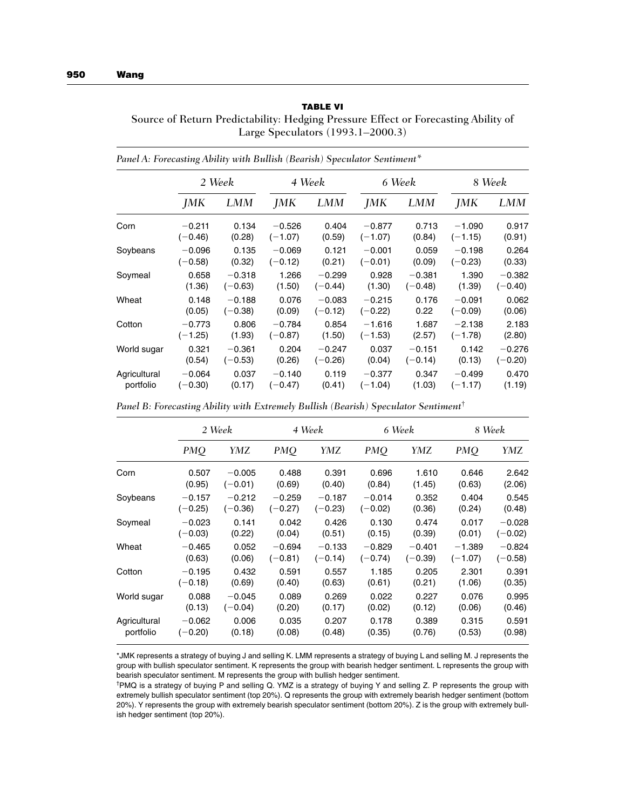## **TABLE VI**

Source of Return Predictability: Hedging Pressure Effect or Forecasting Ability of Large Speculators (1993.1–2000.3)

| Panel A: Forecasting Ability with Bullish (Bearish) Speculator Sentiment* |           |           |            |            |            |           |            |           |
|---------------------------------------------------------------------------|-----------|-----------|------------|------------|------------|-----------|------------|-----------|
|                                                                           |           | 2 Week    |            | 4 Week     |            | 6 Week    |            | 8 Week    |
|                                                                           | JMK       | LMM       | <b>JMK</b> | <b>LMM</b> | <b>JMK</b> | LMM       | <b>JMK</b> | LMM       |
| Corn                                                                      | $-0.211$  | 0.134     | $-0.526$   | 0.404      | $-0.877$   | 0.713     | $-1.090$   | 0.917     |
|                                                                           | $(-0.46)$ | (0.28)    | $(-1.07)$  | (0.59)     | $(-1.07)$  | (0.84)    | $(-1.15)$  | (0.91)    |
| Soybeans                                                                  | $-0.096$  | 0.135     | $-0.069$   | 0.121      | $-0.001$   | 0.059     | $-0.198$   | 0.264     |
|                                                                           | $(-0.58)$ | (0.32)    | $(-0.12)$  | (0.21)     | (0.01) (   | (0.09)    | $(-0.23)$  | (0.33)    |
| Soymeal                                                                   | 0.658     | $-0.318$  | 1.266      | $-0.299$   | 0.928      | $-0.381$  | 1.390      | $-0.382$  |
|                                                                           | (1.36)    | $(-0.63)$ | (1.50)     | $(-0.44)$  | (1.30)     | $(-0.48)$ | (1.39)     | $(-0.40)$ |
| Wheat                                                                     | 0.148     | $-0.188$  | 0.076      | $-0.083$   | $-0.215$   | 0.176     | $-0.091$   | 0.062     |
|                                                                           | (0.05)    | $(-0.38)$ | (0.09)     | $(-0.12)$  | $(-0.22)$  | 0.22      | $(-0.09)$  | (0.06)    |
| Cotton                                                                    | $-0.773$  | 0.806     | $-0.784$   | 0.854      | $-1.616$   | 1.687     | $-2.138$   | 2.183     |
|                                                                           | $(-1.25)$ | (1.93)    | $(-0.87)$  | (1.50)     | $(-1.53)$  | (2.57)    | $(-1.78)$  | (2.80)    |
| World sugar                                                               | 0.321     | $-0.361$  | 0.204      | $-0.247$   | 0.037      | $-0.151$  | 0.142      | $-0.276$  |
|                                                                           | (0.54)    | $(-0.53)$ | (0.26)     | $(-0.26)$  | (0.04)     | $(-0.14)$ | (0.13)     | $(-0.20)$ |
| Agricultural                                                              | $-0.064$  | 0.037     | $-0.140$   | 0.119      | $-0.377$   | 0.347     | $-0.499$   | 0.470     |
| portfolio                                                                 | $(-0.30)$ | (0.17)    | $(-0.47)$  | (0.41)     | $(-1.04)$  | (1.03)    | $(-1.17)$  | (1.19)    |

*Panel B: Forecasting Ability with Extremely Bullish (Bearish) Speculator Sentiment*†

|              |           | 2 Week    |            | 4 Week    |            | 6 Week   |           | 8 Week    |
|--------------|-----------|-----------|------------|-----------|------------|----------|-----------|-----------|
|              | PMO       | YMZ       | <b>PMQ</b> | YMZ       | <b>PMO</b> | YMZ      | PMQ       | YMZ       |
| Corn         | 0.507     | $-0.005$  | 0.488      | 0.391     | 0.696      | 1.610    | 0.646     | 2.642     |
|              | (0.95)    | $(-0.01)$ | (0.69)     | (0.40)    | (0.84)     | (1.45)   | (0.63)    | (2.06)    |
| Soybeans     | $-0.157$  | $-0.212$  | $-0.259$   | $-0.187$  | $-0.014$   | 0.352    | 0.404     | 0.545     |
|              | $(-0.25)$ | $(-0.36)$ | $(-0.27)$  | $(-0.23)$ | $(-0.02)$  | (0.36)   | (0.24)    | (0.48)    |
| Soymeal      | $-0.023$  | 0.141     | 0.042      | 0.426     | 0.130      | 0.474    | 0.017     | $-0.028$  |
|              | $(-0.03)$ | (0.22)    | (0.04)     | (0.51)    | (0.15)     | (0.39)   | (0.01)    | $(-0.02)$ |
| Wheat        | $-0.465$  | 0.052     | $-0.694$   | $-0.133$  | $-0.829$   | $-0.401$ | $-1.389$  | $-0.824$  |
|              | (0.63)    | (0.06)    | $(-0.81)$  | (-0.14)   | $(-0.74)$  | (-0.39)  | $(-1.07)$ | $(-0.58)$ |
| Cotton       | $-0.195$  | 0.432     | 0.591      | 0.557     | 1.185      | 0.205    | 2.301     | 0.391     |
|              | (-0.18)   | (0.69)    | (0.40)     | (0.63)    | (0.61)     | (0.21)   | (1.06)    | (0.35)    |
| World sugar  | 0.088     | $-0.045$  | 0.089      | 0.269     | 0.022      | 0.227    | 0.076     | 0.995     |
|              | (0.13)    | $(-0.04)$ | (0.20)     | (0.17)    | (0.02)     | (0.12)   | (0.06)    | (0.46)    |
| Agricultural | $-0.062$  | 0.006     | 0.035      | 0.207     | 0.178      | 0.389    | 0.315     | 0.591     |
| portfolio    | (-0.20)   | (0.18)    | (0.08)     | (0.48)    | (0.35)     | (0.76)   | (0.53)    | (0.98)    |

\*JMK represents a strategy of buying J and selling K. LMM represents a strategy of buying L and selling M. J represents the group with bullish speculator sentiment. K represents the group with bearish hedger sentiment. L represents the group with bearish speculator sentiment. M represents the group with bullish hedger sentiment.

† PMQ is a strategy of buying P and selling Q. YMZ is a strategy of buying Y and selling Z. P represents the group with extremely bullish speculator sentiment (top 20%). Q represents the group with extremely bearish hedger sentiment (bottom 20%). Y represents the group with extremely bearish speculator sentiment (bottom 20%). Z is the group with extremely bullish hedger sentiment (top 20%).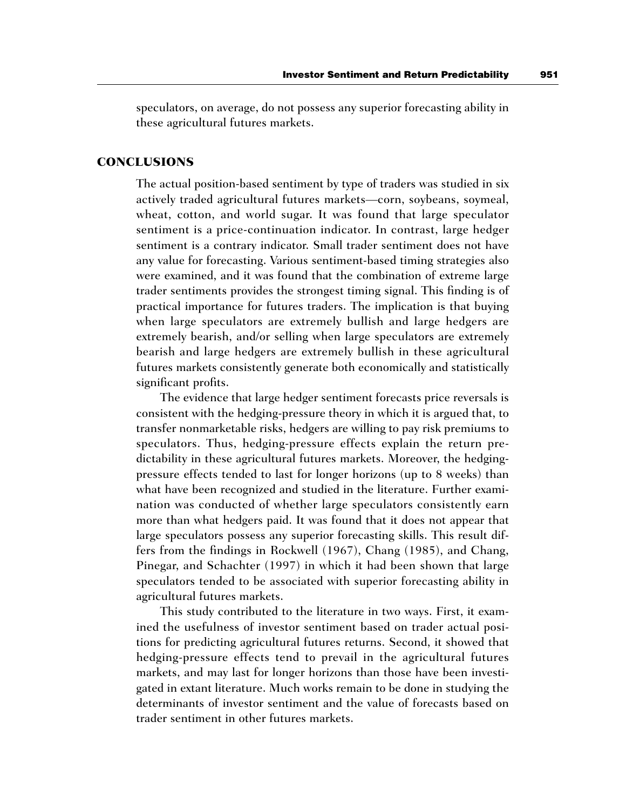speculators, on average, do not possess any superior forecasting ability in these agricultural futures markets.

#### **CONCLUSIONS**

The actual position-based sentiment by type of traders was studied in six actively traded agricultural futures markets—corn, soybeans, soymeal, wheat, cotton, and world sugar. It was found that large speculator sentiment is a price-continuation indicator. In contrast, large hedger sentiment is a contrary indicator. Small trader sentiment does not have any value for forecasting. Various sentiment-based timing strategies also were examined, and it was found that the combination of extreme large trader sentiments provides the strongest timing signal. This finding is of practical importance for futures traders. The implication is that buying when large speculators are extremely bullish and large hedgers are extremely bearish, and/or selling when large speculators are extremely bearish and large hedgers are extremely bullish in these agricultural futures markets consistently generate both economically and statistically significant profits.

The evidence that large hedger sentiment forecasts price reversals is consistent with the hedging-pressure theory in which it is argued that, to transfer nonmarketable risks, hedgers are willing to pay risk premiums to speculators. Thus, hedging-pressure effects explain the return predictability in these agricultural futures markets. Moreover, the hedgingpressure effects tended to last for longer horizons (up to 8 weeks) than what have been recognized and studied in the literature. Further examination was conducted of whether large speculators consistently earn more than what hedgers paid. It was found that it does not appear that large speculators possess any superior forecasting skills. This result differs from the findings in Rockwell (1967), Chang (1985), and Chang, Pinegar, and Schachter (1997) in which it had been shown that large speculators tended to be associated with superior forecasting ability in agricultural futures markets.

This study contributed to the literature in two ways. First, it examined the usefulness of investor sentiment based on trader actual positions for predicting agricultural futures returns. Second, it showed that hedging-pressure effects tend to prevail in the agricultural futures markets, and may last for longer horizons than those have been investigated in extant literature. Much works remain to be done in studying the determinants of investor sentiment and the value of forecasts based on trader sentiment in other futures markets.